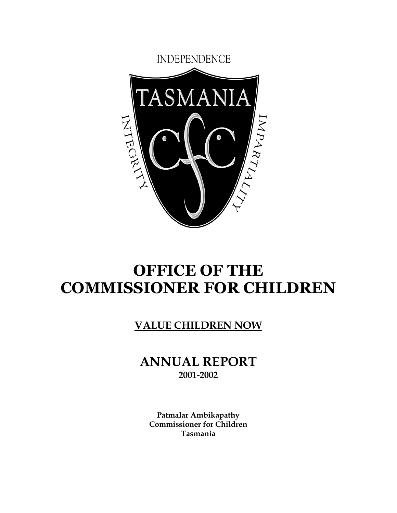

# **OFFICE OF THE COMMISSIONER FOR CHILDREN**

# **VALUE CHILDREN NOW**

**ANNUAL REPORT 2001-2002** 

**Patmalar Ambikapathy Commissioner for Children Tasmania**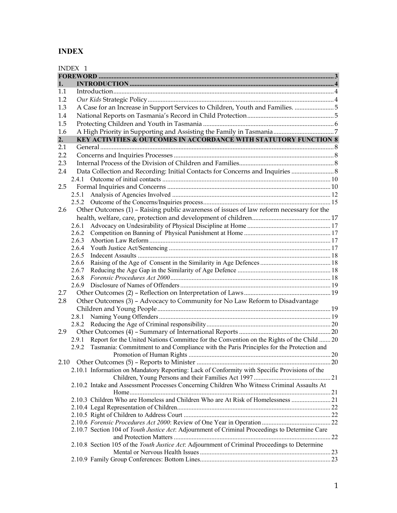# <span id="page-1-0"></span>**INDEX**

|     | INDEX 1                                                                     |                                                                                                |  |  |  |  |  |  |
|-----|-----------------------------------------------------------------------------|------------------------------------------------------------------------------------------------|--|--|--|--|--|--|
|     |                                                                             |                                                                                                |  |  |  |  |  |  |
| 1.  |                                                                             |                                                                                                |  |  |  |  |  |  |
| 1.1 |                                                                             |                                                                                                |  |  |  |  |  |  |
| 1.2 |                                                                             |                                                                                                |  |  |  |  |  |  |
| 1.3 | A Case for an Increase in Support Services to Children, Youth and Families. |                                                                                                |  |  |  |  |  |  |
| 1.4 |                                                                             |                                                                                                |  |  |  |  |  |  |
| 1.5 |                                                                             |                                                                                                |  |  |  |  |  |  |
| 1.6 |                                                                             |                                                                                                |  |  |  |  |  |  |
| 2.  |                                                                             | KEY ACTIVITIES & OUTCOMES IN ACCORDANCE WITH STATUTORY FUNCTION 8                              |  |  |  |  |  |  |
| 2.1 |                                                                             |                                                                                                |  |  |  |  |  |  |
| 2.2 |                                                                             |                                                                                                |  |  |  |  |  |  |
| 2.3 |                                                                             |                                                                                                |  |  |  |  |  |  |
| 2.4 |                                                                             | Data Collection and Recording: Initial Contacts for Concerns and Inquiries                     |  |  |  |  |  |  |
|     |                                                                             |                                                                                                |  |  |  |  |  |  |
| 2.5 |                                                                             |                                                                                                |  |  |  |  |  |  |
|     | 2.5.1                                                                       |                                                                                                |  |  |  |  |  |  |
|     |                                                                             |                                                                                                |  |  |  |  |  |  |
| 2.6 |                                                                             | Other Outcomes (1) - Raising public awareness of issues of law reform necessary for the        |  |  |  |  |  |  |
|     |                                                                             |                                                                                                |  |  |  |  |  |  |
|     | 2.6.1                                                                       |                                                                                                |  |  |  |  |  |  |
|     | 2.6.2                                                                       |                                                                                                |  |  |  |  |  |  |
|     | 2.6.3                                                                       |                                                                                                |  |  |  |  |  |  |
|     | 2.6.4                                                                       |                                                                                                |  |  |  |  |  |  |
|     | 2.6.5                                                                       |                                                                                                |  |  |  |  |  |  |
|     | 2.6.6                                                                       |                                                                                                |  |  |  |  |  |  |
|     | 2.6.7                                                                       |                                                                                                |  |  |  |  |  |  |
|     | 2.6.8                                                                       |                                                                                                |  |  |  |  |  |  |
|     |                                                                             |                                                                                                |  |  |  |  |  |  |
| 2.7 |                                                                             |                                                                                                |  |  |  |  |  |  |
| 2.8 |                                                                             | Other Outcomes (3) - Advocacy to Community for No Law Reform to Disadvantage                   |  |  |  |  |  |  |
|     |                                                                             |                                                                                                |  |  |  |  |  |  |
|     |                                                                             |                                                                                                |  |  |  |  |  |  |
|     |                                                                             |                                                                                                |  |  |  |  |  |  |
| 2.9 |                                                                             |                                                                                                |  |  |  |  |  |  |
|     | 2.9.1                                                                       | Report for the United Nations Committee for the Convention on the Rights of the Child  20      |  |  |  |  |  |  |
|     |                                                                             | 2.9.2 Tasmania: Commitment to and Compliance with the Paris Principles for the Protection and  |  |  |  |  |  |  |
|     |                                                                             |                                                                                                |  |  |  |  |  |  |
|     |                                                                             |                                                                                                |  |  |  |  |  |  |
|     |                                                                             | 2.10.1 Information on Mandatory Reporting: Lack of Conformity with Specific Provisions of the  |  |  |  |  |  |  |
|     |                                                                             |                                                                                                |  |  |  |  |  |  |
|     |                                                                             | 2.10.2 Intake and Assessment Processes Concerning Children Who Witness Criminal Assaults At    |  |  |  |  |  |  |
|     |                                                                             | 2.10.3 Children Who are Homeless and Children Who are At Risk of Homelessness 21               |  |  |  |  |  |  |
|     |                                                                             |                                                                                                |  |  |  |  |  |  |
|     |                                                                             |                                                                                                |  |  |  |  |  |  |
|     |                                                                             |                                                                                                |  |  |  |  |  |  |
|     |                                                                             | 2.10.7 Section 104 of Youth Justice Act: Adjournment of Criminal Proceedings to Determine Care |  |  |  |  |  |  |
|     |                                                                             |                                                                                                |  |  |  |  |  |  |
|     |                                                                             | 2.10.8 Section 105 of the Youth Justice Act: Adjournment of Criminal Proceedings to Determine  |  |  |  |  |  |  |
|     |                                                                             |                                                                                                |  |  |  |  |  |  |
|     |                                                                             |                                                                                                |  |  |  |  |  |  |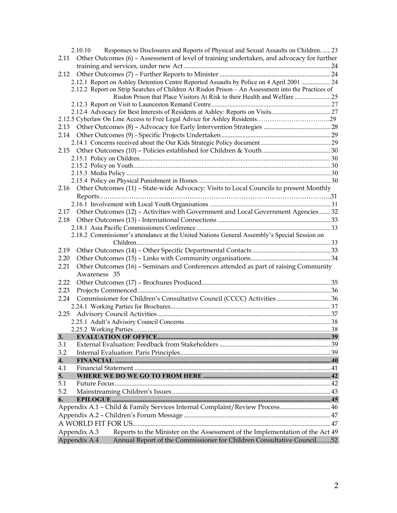|                                                                                               | 2.10.10      | Responses to Disclosures and Reports of Physical and Sexual Assaults on Children23                 |    |  |  |  |  |
|-----------------------------------------------------------------------------------------------|--------------|----------------------------------------------------------------------------------------------------|----|--|--|--|--|
| 2.11                                                                                          |              | Other Outcomes (6) – Assessment of level of training undertaken, and advocacy for further          |    |  |  |  |  |
|                                                                                               |              |                                                                                                    |    |  |  |  |  |
| 2.12                                                                                          |              |                                                                                                    |    |  |  |  |  |
|                                                                                               |              | 2.12.1 Report on Ashley Detention Centre Reported Assaults by Police on 4 April 2001  24           |    |  |  |  |  |
|                                                                                               |              | 2.12.2 Report on Strip Searches of Children At Risdon Prison - An Assessment into the Practices of |    |  |  |  |  |
|                                                                                               |              |                                                                                                    |    |  |  |  |  |
|                                                                                               |              |                                                                                                    |    |  |  |  |  |
|                                                                                               |              |                                                                                                    |    |  |  |  |  |
|                                                                                               |              |                                                                                                    |    |  |  |  |  |
|                                                                                               |              |                                                                                                    |    |  |  |  |  |
|                                                                                               |              |                                                                                                    |    |  |  |  |  |
|                                                                                               |              |                                                                                                    |    |  |  |  |  |
|                                                                                               |              |                                                                                                    |    |  |  |  |  |
|                                                                                               |              |                                                                                                    |    |  |  |  |  |
|                                                                                               |              |                                                                                                    |    |  |  |  |  |
|                                                                                               |              |                                                                                                    |    |  |  |  |  |
|                                                                                               |              | 2.16 Other Outcomes (11) - State-wide Advocacy: Visits to Local Councils to present Monthly        |    |  |  |  |  |
|                                                                                               |              |                                                                                                    |    |  |  |  |  |
|                                                                                               |              |                                                                                                    |    |  |  |  |  |
|                                                                                               |              | 2.17 Other Outcomes (12) - Activities with Government and Local Government Agencies32              |    |  |  |  |  |
|                                                                                               |              |                                                                                                    |    |  |  |  |  |
|                                                                                               |              |                                                                                                    |    |  |  |  |  |
|                                                                                               |              | 2.18.2 Commissioner's attendance at the United Nations General Assembly's Special Session on       |    |  |  |  |  |
|                                                                                               |              |                                                                                                    |    |  |  |  |  |
| 2.19                                                                                          |              |                                                                                                    |    |  |  |  |  |
| 2.20                                                                                          |              |                                                                                                    |    |  |  |  |  |
| 2.21                                                                                          |              | Other Outcomes (16) - Seminars and Conferences attended as part of raising Community               |    |  |  |  |  |
|                                                                                               | Awareness 35 |                                                                                                    |    |  |  |  |  |
| 2.22                                                                                          |              |                                                                                                    |    |  |  |  |  |
| 2.23                                                                                          |              |                                                                                                    |    |  |  |  |  |
|                                                                                               |              |                                                                                                    |    |  |  |  |  |
|                                                                                               |              |                                                                                                    |    |  |  |  |  |
|                                                                                               |              |                                                                                                    |    |  |  |  |  |
|                                                                                               |              |                                                                                                    |    |  |  |  |  |
| 3.                                                                                            |              |                                                                                                    | 39 |  |  |  |  |
| 3.1                                                                                           |              |                                                                                                    |    |  |  |  |  |
| 3.2                                                                                           |              |                                                                                                    |    |  |  |  |  |
| $\overline{4}$ .                                                                              |              |                                                                                                    |    |  |  |  |  |
| 4.1                                                                                           |              |                                                                                                    |    |  |  |  |  |
| 5.                                                                                            |              |                                                                                                    |    |  |  |  |  |
| 5.1                                                                                           |              |                                                                                                    |    |  |  |  |  |
| 5.2                                                                                           |              |                                                                                                    |    |  |  |  |  |
| 6.                                                                                            |              |                                                                                                    |    |  |  |  |  |
| Appendix A.1 - Child & Family Services Internal Complaint/Review Process 46                   |              |                                                                                                    |    |  |  |  |  |
|                                                                                               |              |                                                                                                    |    |  |  |  |  |
|                                                                                               |              |                                                                                                    |    |  |  |  |  |
| Reports to the Minister on the Assessment of the Implementation of the Act 49<br>Appendix A.3 |              |                                                                                                    |    |  |  |  |  |
|                                                                                               | Appendix A.4 | Annual Report of the Commissioner for Children Consultative Council52                              |    |  |  |  |  |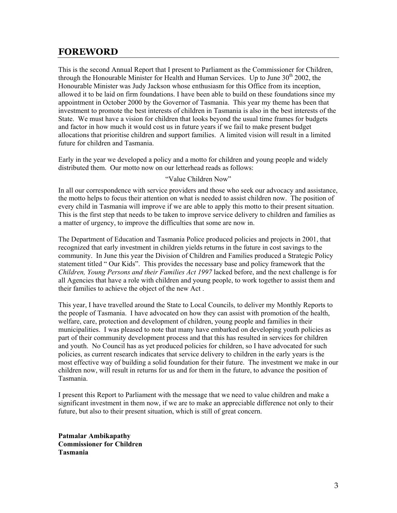# <span id="page-3-0"></span>**FOREWORD**

This is the second Annual Report that I present to Parliament as the Commissioner for Children, through the Honourable Minister for Health and Human Services. Up to June  $30<sup>th</sup> 2002$ , the Honourable Minister was Judy Jackson whose enthusiasm for this Office from its inception, allowed it to be laid on firm foundations. I have been able to build on these foundations since my appointment in October 2000 by the Governor of Tasmania. This year my theme has been that investment to promote the best interests of children in Tasmania is also in the best interests of the State. We must have a vision for children that looks beyond the usual time frames for budgets and factor in how much it would cost us in future years if we fail to make present budget allocations that prioritise children and support families. A limited vision will result in a limited future for children and Tasmania.

Early in the year we developed a policy and a motto for children and young people and widely distributed them. Our motto now on our letterhead reads as follows:

#### "Value Children Now"

In all our correspondence with service providers and those who seek our advocacy and assistance, the motto helps to focus their attention on what is needed to assist children now. The position of every child in Tasmania will improve if we are able to apply this motto to their present situation. This is the first step that needs to be taken to improve service delivery to children and families as a matter of urgency, to improve the difficulties that some are now in.

The Department of Education and Tasmania Police produced policies and projects in 2001, that recognized that early investment in children yields returns in the future in cost savings to the community. In June this year the Division of Children and Families produced a Strategic Policy statement titled " Our Kids". This provides the necessary base and policy framework that the *Children, Young Persons and their Families Act 1997* lacked before, and the next challenge is for all Agencies that have a role with children and young people, to work together to assist them and their families to achieve the object of the new Act .

This year, I have travelled around the State to Local Councils, to deliver my Monthly Reports to the people of Tasmania. I have advocated on how they can assist with promotion of the health, welfare, care, protection and development of children, young people and families in their municipalities. I was pleased to note that many have embarked on developing youth policies as part of their community development process and that this has resulted in services for children and youth. No Council has as yet produced policies for children, so I have advocated for such policies, as current research indicates that service delivery to children in the early years is the most effective way of building a solid foundation for their future. The investment we make in our children now, will result in returns for us and for them in the future, to advance the position of Tasmania.

I present this Report to Parliament with the message that we need to value children and make a significant investment in them now, if we are to make an appreciable difference not only to their future, but also to their present situation, which is still of great concern.

**Patmalar Ambikapathy Commissioner for Children Tasmania**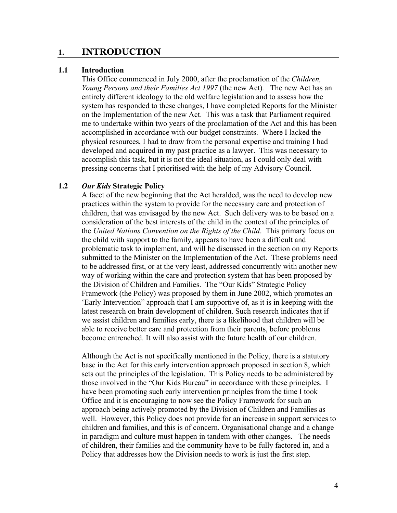### <span id="page-4-0"></span>**1. INTRODUCTION**

#### **1.1 Introduction**

This Office commenced in July 2000, after the proclamation of the *Children, Young Persons and their Families Act 1997* (the new Act)*.* The new Act has an entirely different ideology to the old welfare legislation and to assess how the system has responded to these changes, I have completed Reports for the Minister on the Implementation of the new Act. This was a task that Parliament required me to undertake within two years of the proclamation of the Act and this has been accomplished in accordance with our budget constraints. Where I lacked the physical resources, I had to draw from the personal expertise and training I had developed and acquired in my past practice as a lawyer. This was necessary to accomplish this task, but it is not the ideal situation, as I could only deal with pressing concerns that I prioritised with the help of my Advisory Council.

### **1.2** *Our Kids* **Strategic Policy**

A facet of the new beginning that the Act heralded, was the need to develop new practices within the system to provide for the necessary care and protection of children, that was envisaged by the new Act. Such delivery was to be based on a consideration of the best interests of the child in the context of the principles of the *United Nations Convention on the Rights of the Child*. This primary focus on the child with support to the family, appears to have been a difficult and problematic task to implement, and will be discussed in the section on my Reports submitted to the Minister on the Implementation of the Act. These problems need to be addressed first, or at the very least, addressed concurrently with another new way of working within the care and protection system that has been proposed by the Division of Children and Families. The "Our Kids" Strategic Policy Framework (the Policy) was proposed by them in June 2002, which promotes an 'Early Intervention" approach that I am supportive of, as it is in keeping with the latest research on brain development of children. Such research indicates that if we assist children and families early, there is a likelihood that children will be able to receive better care and protection from their parents, before problems become entrenched. It will also assist with the future health of our children.

Although the Act is not specifically mentioned in the Policy, there is a statutory base in the Act for this early intervention approach proposed in section 8, which sets out the principles of the legislation. This Policy needs to be administered by those involved in the "Our Kids Bureau" in accordance with these principles.I have been promoting such early intervention principles from the time I took Office and it is encouraging to now see the Policy Framework for such an approach being actively promoted by the Division of Children and Families as well. However, this Policy does not provide for an increase in support services to children and families, and this is of concern. Organisational change and a change in paradigm and culture must happen in tandem with other changes. The needs of children, their families and the community have to be fully factored in, and a Policy that addresses how the Division needs to work is just the first step.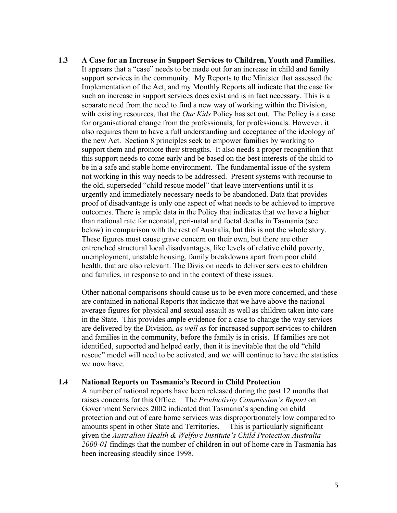<span id="page-5-0"></span>**1.3 A Case for an Increase in Support Services to Children, Youth and Families.**  It appears that a "case" needs to be made out for an increase in child and family support services in the community. My Reports to the Minister that assessed the Implementation of the Act, and my Monthly Reports all indicate that the case for such an increase in support services does exist and is in fact necessary. This is a separate need from the need to find a new way of working within the Division, with existing resources, that the *Our Kids* Policy has set out. The Policy is a case for organisational change from the professionals, for professionals. However, it also requires them to have a full understanding and acceptance of the ideology of the new Act. Section 8 principles seek to empower families by working to support them and promote their strengths. It also needs a proper recognition that this support needs to come early and be based on the best interests of the child to be in a safe and stable home environment. The fundamental issue of the system not working in this way needs to be addressed. Present systems with recourse to the old, superseded "child rescue model" that leave interventions until it is urgently and immediately necessary needs to be abandoned. Data that provides proof of disadvantage is only one aspect of what needs to be achieved to improve outcomes. There is ample data in the Policy that indicates that we have a higher than national rate for neonatal, peri-natal and foetal deaths in Tasmania (see below) in comparison with the rest of Australia, but this is not the whole story. These figures must cause grave concern on their own, but there are other entrenched structural local disadvantages, like levels of relative child poverty, unemployment, unstable housing, family breakdowns apart from poor child health, that are also relevant. The Division needs to deliver services to children and families, in response to and in the context of these issues.

Other national comparisons should cause us to be even more concerned, and these are contained in national Reports that indicate that we have above the national average figures for physical and sexual assault as well as children taken into care in the State. This provides ample evidence for a case to change the way services are delivered by the Division, *as well as* for increased support services to children and families in the community, before the family is in crisis. If families are not identified, supported and helped early, then it is inevitable that the old "child rescue" model will need to be activated, and we will continue to have the statistics we now have.

#### **1.4 National Reports on Tasmania's Record in Child Protection**

A number of national reports have been released during the past 12 months that raises concerns for this Office. The *Productivity Commission's Report* on Government Services 2002 indicated that Tasmania's spending on child protection and out of care home services was disproportionately low compared to amounts spent in other State and Territories. This is particularly significant given the *Australian Health & Welfare Institute's Child Protection Australia 2000-01* findings that the number of children in out of home care in Tasmania has been increasing steadily since 1998.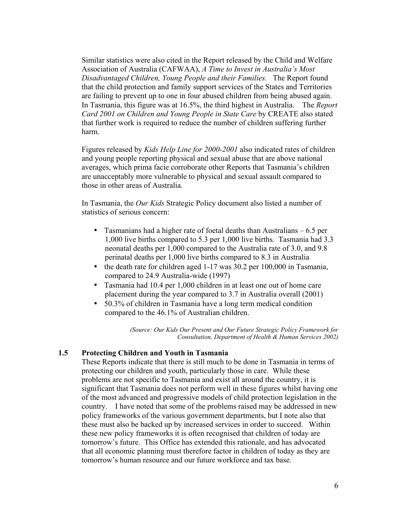<span id="page-6-0"></span>Similar statistics were also cited in the Report released by the Child and Welfare Association of Australia (CAFWAA), *A Time to Invest in Australia's Most Disadvantaged Children, Young People and their Families.* The Report found that the child protection and family support services of the States and Territories are failing to prevent up to one in four abused children from being abused again. In Tasmania, this figure was at 16.5%, the third highest in Australia. The *Report Card 2001 on Children and Young People in State Care* by CREATE also stated that further work is required to reduce the number of children suffering further harm.

Figures released by *Kids Help Line for 2000-2001* also indicated rates of children and young people reporting physical and sexual abuse that are above national averages, which prima facie corroborate other Reports that Tasmania's children are unacceptably more vulnerable to physical and sexual assault compared to those in other areas of Australia.

In Tasmania, the *Our Kids* Strategic Policy document also listed a number of statistics of serious concern:

- Tasmanians had a higher rate of foetal deaths than Australians 6.5 per 1,000 live births compared to 5.3 per 1,000 live births. Tasmania had 3.3 neonatal deaths per 1,000 compared to the Australia rate of 3.0, and 9.8 perinatal deaths per 1,000 live births compared to 8.3 in Australia
- the death rate for children aged 1-17 was 30.2 per 100,000 in Tasmania, compared to 24.9 Australia-wide (1997)
- Tasmania had 10.4 per 1,000 children in at least one out of home care placement during the year compared to 3.7 in Australia overall (2001)
- 50.3% of children in Tasmania have a long term medical condition compared to the 46.1% of Australian children.

*(Source: Our Kids Our Present and Our Future Strategic Policy Framework for Consultation, Department of Health & Human Services 2002)*

#### **1.5 Protecting Children and Youth in Tasmania**

These Reports indicate that there is still much to be done in Tasmania in terms of protecting our children and youth, particularly those in care. While these problems are not specific to Tasmania and exist all around the country, it is significant that Tasmania does not perform well in these figures whilst having one of the most advanced and progressive models of child protection legislation in the country. I have noted that some of the problems raised may be addressed in new policy frameworks of the various government departments, but I note also that these must also be backed up by increased services in order to succeed. Within these new policy frameworks it is often recognised that children of today are tomorrow's future. This Office has extended this rationale, and has advocated that all economic planning must therefore factor in children of today as they are tomorrow's human resource and our future workforce and tax base.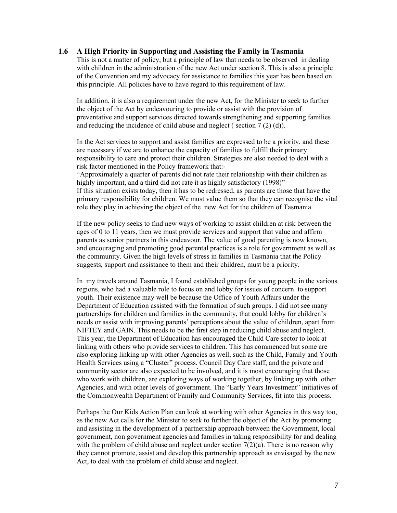#### <span id="page-7-0"></span>**1.6 A High Priority in Supporting and Assisting the Family in Tasmania**

This is not a matter of policy, but a principle of law that needs to be observed in dealing with children in the administration of the new Act under section 8. This is also a principle of the Convention and my advocacy for assistance to families this year has been based on this principle. All policies have to have regard to this requirement of law.

In addition, it is also a requirement under the new Act, for the Minister to seek to further the object of the Act by endeavouring to provide or assist with the provision of preventative and support services directed towards strengthening and supporting families and reducing the incidence of child abuse and neglect ( section 7 (2) (d)).

In the Act services to support and assist families are expressed to be a priority, and these are necessary if we are to enhance the capacity of families to fulfill their primary responsibility to care and protect their children. Strategies are also needed to deal with a risk factor mentioned in the Policy framework that:-

"Approximately a quarter of parents did not rate their relationship with their children as highly important, and a third did not rate it as highly satisfactory (1998)" If this situation exists today, then it has to be redressed, as parents are those that have the primary responsibility for children. We must value them so that they can recognise the vital role they play in achieving the object of the new Act for the children of Tasmania.

If the new policy seeks to find new ways of working to assist children at risk between the ages of 0 to 11 years, then we must provide services and support that value and affirm parents as senior partners in this endeavour. The value of good parenting is now known, and encouraging and promoting good parental practices is a role for government as well as the community. Given the high levels of stress in families in Tasmania that the Policy suggests, support and assistance to them and their children, must be a priority.

In my travels around Tasmania, I found established groups for young people in the various regions, who had a valuable role to focus on and lobby for issues of concern to support youth. Their existence may well be because the Office of Youth Affairs under the Department of Education assisted with the formation of such groups. I did not see many partnerships for children and families in the community, that could lobby for children's needs or assist with improving parents' perceptions about the value of children, apart from NIFTEY and GAIN. This needs to be the first step in reducing child abuse and neglect. This year, the Department of Education has encouraged the Child Care sector to look at linking with others who provide services to children. This has commenced but some are also exploring linking up with other Agencies as well, such as the Child, Family and Youth Health Services using a "Cluster" process. Council Day Care staff, and the private and community sector are also expected to be involved, and it is most encouraging that those who work with children, are exploring ways of working together, by linking up with other Agencies, and with other levels of government. The "Early Years Investment" initiatives of the Commonwealth Department of Family and Community Services, fit into this process.

Perhaps the Our Kids Action Plan can look at working with other Agencies in this way too, as the new Act calls for the Minister to seek to further the object of the Act by promoting and assisting in the development of a partnership approach between the Government, local government, non government agencies and families in taking responsibility for and dealing with the problem of child abuse and neglect under section  $7(2)(a)$ . There is no reason why they cannot promote, assist and develop this partnership approach as envisaged by the new Act, to deal with the problem of child abuse and neglect.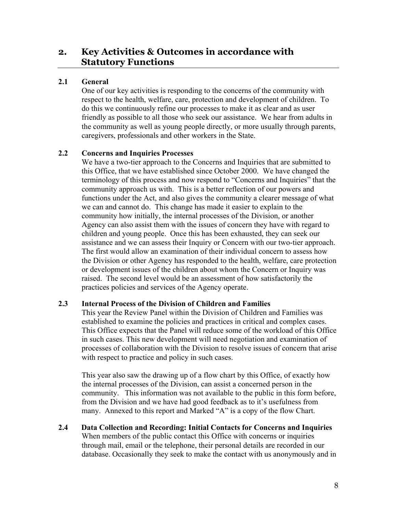# <span id="page-8-0"></span>**2. Key Activities & Outcomes in accordance with Statutory Functions**

# **2.1 General**

One of our key activities is responding to the concerns of the community with respect to the health, welfare, care, protection and development of children. To do this we continuously refine our processes to make it as clear and as user friendly as possible to all those who seek our assistance. We hear from adults in the community as well as young people directly, or more usually through parents, caregivers, professionals and other workers in the State.

# **2.2 Concerns and Inquiries Processes**

We have a two-tier approach to the Concerns and Inquiries that are submitted to this Office, that we have established since October 2000. We have changed the terminology of this process and now respond to "Concerns and Inquiries" that the community approach us with. This is a better reflection of our powers and functions under the Act, and also gives the community a clearer message of what we can and cannot do. This change has made it easier to explain to the community how initially, the internal processes of the Division, or another Agency can also assist them with the issues of concern they have with regard to children and young people. Once this has been exhausted, they can seek our assistance and we can assess their Inquiry or Concern with our two-tier approach. The first would allow an examination of their individual concern to assess how the Division or other Agency has responded to the health, welfare, care protection or development issues of the children about whom the Concern or Inquiry was raised. The second level would be an assessment of how satisfactorily the practices policies and services of the Agency operate.

# **2.3 Internal Process of the Division of Children and Families**

This year the Review Panel within the Division of Children and Families was established to examine the policies and practices in critical and complex cases. This Office expects that the Panel will reduce some of the workload of this Office in such cases. This new development will need negotiation and examination of processes of collaboration with the Division to resolve issues of concern that arise with respect to practice and policy in such cases.

This year also saw the drawing up of a flow chart by this Office, of exactly how the internal processes of the Division, can assist a concerned person in the community. This information was not available to the public in this form before, from the Division and we have had good feedback as to it's usefulness from many. Annexed to this report and Marked "A" is a copy of the flow Chart.

**2.4 Data Collection and Recording: Initial Contacts for Concerns and Inquiries**  When members of the public contact this Office with concerns or inquiries through mail, email or the telephone, their personal details are recorded in our database. Occasionally they seek to make the contact with us anonymously and in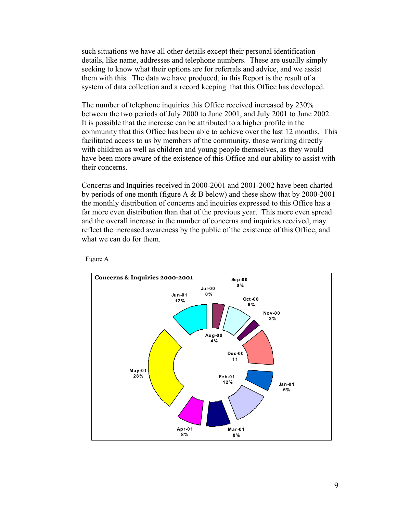such situations we have all other details except their personal identification details, like name, addresses and telephone numbers. These are usually simply seeking to know what their options are for referrals and advice, and we assist them with this. The data we have produced, in this Report is the result of a system of data collection and a record keeping that this Office has developed.

The number of telephone inquiries this Office received increased by 230% between the two periods of July 2000 to June 2001, and July 2001 to June 2002. It is possible that the increase can be attributed to a higher profile in the community that this Office has been able to achieve over the last 12 months. This facilitated access to us by members of the community, those working directly with children as well as children and young people themselves, as they would have been more aware of the existence of this Office and our ability to assist with their concerns.

Concerns and Inquiries received in 2000-2001 and 2001-2002 have been charted by periods of one month (figure A & B below) and these show that by 2000-2001 the monthly distribution of concerns and inquiries expressed to this Office has a far more even distribution than that of the previous year. This more even spread and the overall increase in the number of concerns and inquiries received, may reflect the increased awareness by the public of the existence of this Office, and what we can do for them.



Figure A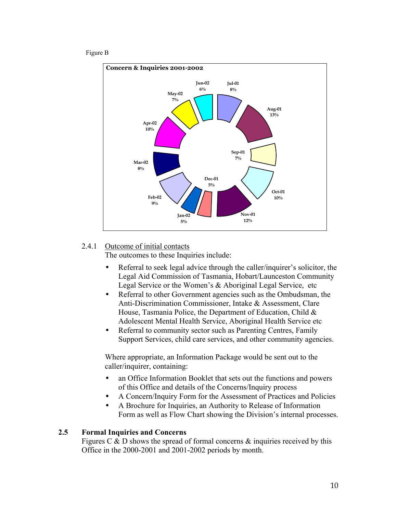<span id="page-10-0"></span>Figure B



#### 2.4.1 Outcome of initial contacts

The outcomes to these Inquiries include:

- Referral to seek legal advice through the caller/inquirer's solicitor, the Legal Aid Commission of Tasmania, Hobart/Launceston Community Legal Service or the Women's & Aboriginal Legal Service, etc
- Referral to other Government agencies such as the Ombudsman, the Anti-Discrimination Commissioner, Intake & Assessment, Clare House, Tasmania Police, the Department of Education, Child & Adolescent Mental Health Service, Aboriginal Health Service etc
- Referral to community sector such as Parenting Centres, Family Support Services, child care services, and other community agencies.

Where appropriate, an Information Package would be sent out to the caller/inquirer, containing:

- an Office Information Booklet that sets out the functions and powers of this Office and details of the Concerns/Inquiry process
- A Concern/Inquiry Form for the Assessment of Practices and Policies
- A Brochure for Inquiries, an Authority to Release of Information Form as well as Flow Chart showing the Division's internal processes.

#### **2.5 Formal Inquiries and Concerns**

Figures C  $\&$  D shows the spread of formal concerns  $\&$  inquiries received by this Office in the 2000-2001 and 2001-2002 periods by month.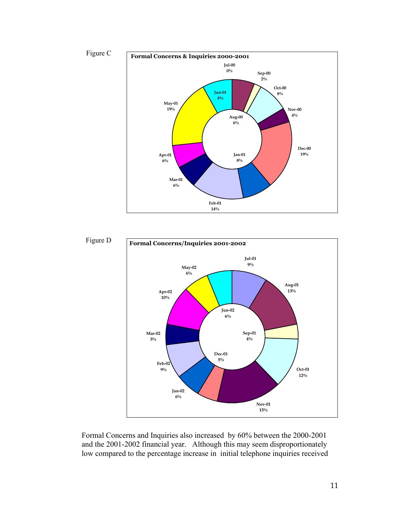



Formal Concerns and Inquiries also increased by 60% between the 2000-2001 and the 2001-2002 financial year. Although this may seem disproportionately low compared to the percentage increase in initial telephone inquiries received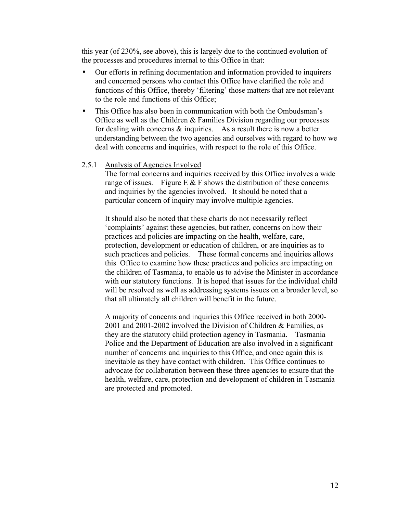<span id="page-12-0"></span>this year (of 230%, see above), this is largely due to the continued evolution of the processes and procedures internal to this Office in that:

- Our efforts in refining documentation and information provided to inquirers and concerned persons who contact this Office have clarified the role and functions of this Office, thereby 'filtering' those matters that are not relevant to the role and functions of this Office;
- This Office has also been in communication with both the Ombudsman's Office as well as the Children & Families Division regarding our processes for dealing with concerns & inquiries. As a result there is now a better understanding between the two agencies and ourselves with regard to how we deal with concerns and inquiries, with respect to the role of this Office.

#### 2.5.1 Analysis of Agencies Involved

The formal concerns and inquiries received by this Office involves a wide range of issues. Figure E  $&$  F shows the distribution of these concerns and inquiries by the agencies involved. It should be noted that a particular concern of inquiry may involve multiple agencies.

It should also be noted that these charts do not necessarily reflect 'complaints' against these agencies, but rather, concerns on how their practices and policies are impacting on the health, welfare, care, protection, development or education of children, or are inquiries as to such practices and policies. These formal concerns and inquiries allows this Office to examine how these practices and policies are impacting on the children of Tasmania, to enable us to advise the Minister in accordance with our statutory functions. It is hoped that issues for the individual child will be resolved as well as addressing systems issues on a broader level, so that all ultimately all children will benefit in the future.

A majority of concerns and inquiries this Office received in both 2000- 2001 and 2001-2002 involved the Division of Children & Families, as they are the statutory child protection agency in Tasmania. Tasmania Police and the Department of Education are also involved in a significant number of concerns and inquiries to this Office, and once again this is inevitable as they have contact with children. This Office continues to advocate for collaboration between these three agencies to ensure that the health, welfare, care, protection and development of children in Tasmania are protected and promoted.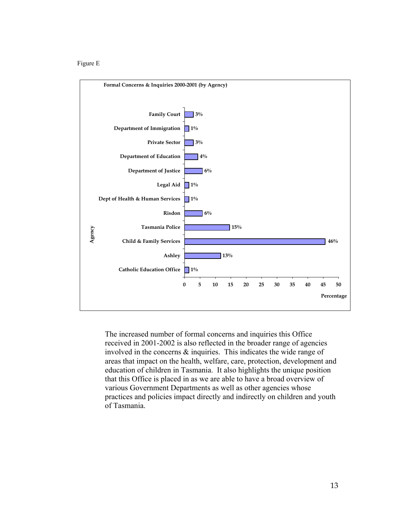Figure E



The increased number of formal concerns and inquiries this Office received in 2001-2002 is also reflected in the broader range of agencies involved in the concerns & inquiries. This indicates the wide range of areas that impact on the health, welfare, care, protection, development and education of children in Tasmania. It also highlights the unique position that this Office is placed in as we are able to have a broad overview of various Government Departments as well as other agencies whose practices and policies impact directly and indirectly on children and youth of Tasmania.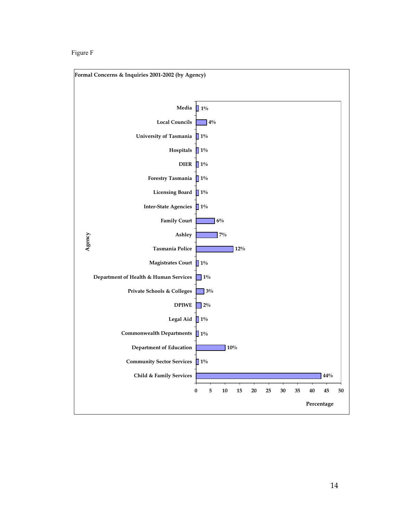Figure F

![](_page_14_Figure_1.jpeg)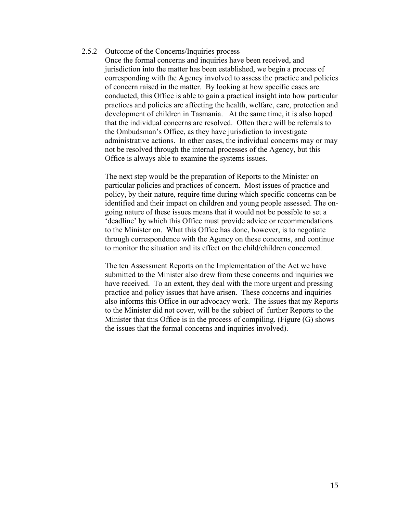#### <span id="page-15-0"></span>2.5.2 Outcome of the Concerns/Inquiries process

Once the formal concerns and inquiries have been received, and jurisdiction into the matter has been established, we begin a process of corresponding with the Agency involved to assess the practice and policies of concern raised in the matter. By looking at how specific cases are conducted, this Office is able to gain a practical insight into how particular practices and policies are affecting the health, welfare, care, protection and development of children in Tasmania. At the same time, it is also hoped that the individual concerns are resolved. Often there will be referrals to the Ombudsman's Office, as they have jurisdiction to investigate administrative actions. In other cases, the individual concerns may or may not be resolved through the internal processes of the Agency, but this Office is always able to examine the systems issues.

The next step would be the preparation of Reports to the Minister on particular policies and practices of concern. Most issues of practice and policy, by their nature, require time during which specific concerns can be identified and their impact on children and young people assessed. The ongoing nature of these issues means that it would not be possible to set a 'deadline' by which this Office must provide advice or recommendations to the Minister on. What this Office has done, however, is to negotiate through correspondence with the Agency on these concerns, and continue to monitor the situation and its effect on the child/children concerned.

The ten Assessment Reports on the Implementation of the Act we have submitted to the Minister also drew from these concerns and inquiries we have received. To an extent, they deal with the more urgent and pressing practice and policy issues that have arisen. These concerns and inquiries also informs this Office in our advocacy work. The issues that my Reports to the Minister did not cover, will be the subject of further Reports to the Minister that this Office is in the process of compiling. (Figure (G) shows the issues that the formal concerns and inquiries involved).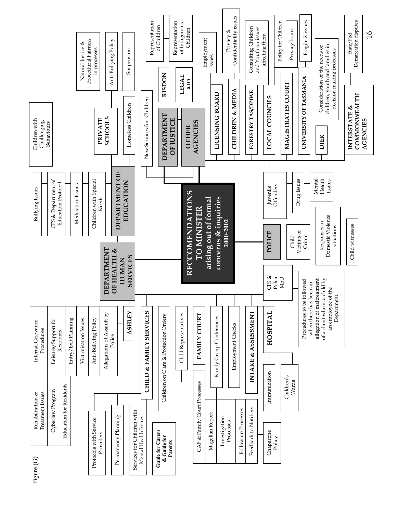![](_page_16_Figure_0.jpeg)

Fi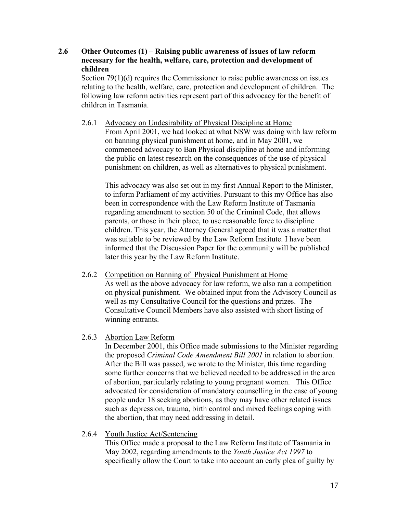<span id="page-17-0"></span>**2.6 Other Outcomes (1) – Raising public awareness of issues of law reform necessary for the health, welfare, care, protection and development of children** 

Section 79(1)(d) requires the Commissioner to raise public awareness on issues relating to the health, welfare, care, protection and development of children. The following law reform activities represent part of this advocacy for the benefit of children in Tasmania.

2.6.1 Advocacy on Undesirability of Physical Discipline at Home From April 2001, we had looked at what NSW was doing with law reform on banning physical punishment at home, and in May 2001, we commenced advocacy to Ban Physical discipline at home and informing the public on latest research on the consequences of the use of physical punishment on children, as well as alternatives to physical punishment.

This advocacy was also set out in my first Annual Report to the Minister, to inform Parliament of my activities. Pursuant to this my Office has also been in correspondence with the Law Reform Institute of Tasmania regarding amendment to section 50 of the Criminal Code, that allows parents, or those in their place, to use reasonable force to discipline children. This year, the Attorney General agreed that it was a matter that was suitable to be reviewed by the Law Reform Institute. I have been informed that the Discussion Paper for the community will be published later this year by the Law Reform Institute.

- 2.6.2 Competition on Banning of Physical Punishment at Home As well as the above advocacy for law reform, we also ran a competition on physical punishment. We obtained input from the Advisory Council as well as my Consultative Council for the questions and prizes. The Consultative Council Members have also assisted with short listing of winning entrants.
- 2.6.3 Abortion Law Reform

In December 2001, this Office made submissions to the Minister regarding the proposed *Criminal Code Amendment Bill 2001* in relation to abortion. After the Bill was passed, we wrote to the Minister, this time regarding some further concerns that we believed needed to be addressed in the area of abortion, particularly relating to young pregnant women. This Office advocated for consideration of mandatory counselling in the case of young people under 18 seeking abortions, as they may have other related issues such as depression, trauma, birth control and mixed feelings coping with the abortion, that may need addressing in detail.

2.6.4 Youth Justice Act/Sentencing

This Office made a proposal to the Law Reform Institute of Tasmania in May 2002, regarding amendments to the *Youth Justice Act 1997* to specifically allow the Court to take into account an early plea of guilty by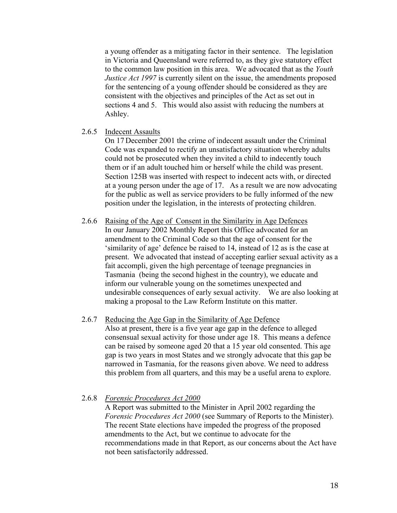<span id="page-18-0"></span>a young offender as a mitigating factor in their sentence. The legislation in Victoria and Queensland were referred to, as they give statutory effect to the common law position in this area. We advocated that as the *Youth Justice Act 1997* is currently silent on the issue, the amendments proposed for the sentencing of a young offender should be considered as they are consistent with the objectives and principles of the Act as set out in sections 4 and 5. This would also assist with reducing the numbers at Ashley.

2.6.5 Indecent Assaults

On 17 December 2001 the crime of indecent assault under the Criminal Code was expanded to rectify an unsatisfactory situation whereby adults could not be prosecuted when they invited a child to indecently touch them or if an adult touched him or herself while the child was present. Section 125B was inserted with respect to indecent acts with, or directed at a young person under the age of 17. As a result we are now advocating for the public as well as service providers to be fully informed of the new position under the legislation, in the interests of protecting children.

- 2.6.6 Raising of the Age of Consent in the Similarity in Age Defences In our January 2002 Monthly Report this Office advocated for an amendment to the Criminal Code so that the age of consent for the 'similarity of age' defence be raised to 14, instead of 12 as is the case at present. We advocated that instead of accepting earlier sexual activity as a fait accompli, given the high percentage of teenage pregnancies in Tasmania (being the second highest in the country), we educate and inform our vulnerable young on the sometimes unexpected and undesirable consequences of early sexual activity. We are also looking at making a proposal to the Law Reform Institute on this matter.
- 2.6.7 Reducing the Age Gap in the Similarity of Age Defence Also at present, there is a five year age gap in the defence to alleged consensual sexual activity for those under age 18. This means a defence can be raised by someone aged 20 that a 15 year old consented. This age gap is two years in most States and we strongly advocate that this gap be narrowed in Tasmania, for the reasons given above. We need to address this problem from all quarters, and this may be a useful arena to explore.

#### 2.6.8 *Forensic Procedures Act 2000*

A Report was submitted to the Minister in April 2002 regarding the *Forensic Procedures Act 2000* (see Summary of Reports to the Minister). The recent State elections have impeded the progress of the proposed amendments to the Act, but we continue to advocate for the recommendations made in that Report, as our concerns about the Act have not been satisfactorily addressed.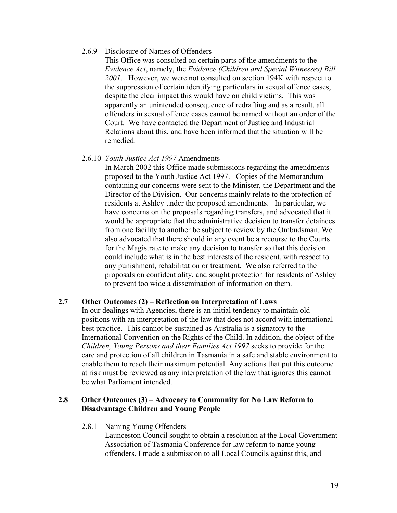#### <span id="page-19-0"></span>2.6.9 Disclosure of Names of Offenders

This Office was consulted on certain parts of the amendments to the *Evidence Act*, namely, the *Evidence (Children and Special Witnesses) Bill 2001*. However, we were not consulted on section 194K with respect to the suppression of certain identifying particulars in sexual offence cases, despite the clear impact this would have on child victims. This was apparently an unintended consequence of redrafting and as a result, all offenders in sexual offence cases cannot be named without an order of the Court. We have contacted the Department of Justice and Industrial Relations about this, and have been informed that the situation will be remedied.

# 2.6.10 *Youth Justice Act 1997* Amendments

In March 2002 this Office made submissions regarding the amendments proposed to the Youth Justice Act 1997. Copies of the Memorandum containing our concerns were sent to the Minister, the Department and the Director of the Division. Our concerns mainly relate to the protection of residents at Ashley under the proposed amendments. In particular, we have concerns on the proposals regarding transfers, and advocated that it would be appropriate that the administrative decision to transfer detainees from one facility to another be subject to review by the Ombudsman. We also advocated that there should in any event be a recourse to the Courts for the Magistrate to make any decision to transfer so that this decision could include what is in the best interests of the resident, with respect to any punishment, rehabilitation or treatment. We also referred to the proposals on confidentiality, and sought protection for residents of Ashley to prevent too wide a dissemination of information on them.

# **2.7 Other Outcomes (2) – Reflection on Interpretation of Laws**

In our dealings with Agencies, there is an initial tendency to maintain old positions with an interpretation of the law that does not accord with international best practice. This cannot be sustained as Australia is a signatory to the International Convention on the Rights of the Child. In addition, the object of the *Children, Young Persons and their Families Act 1997* seeks to provide for the care and protection of all children in Tasmania in a safe and stable environment to enable them to reach their maximum potential. Any actions that put this outcome at risk must be reviewed as any interpretation of the law that ignores this cannot be what Parliament intended.

# **2.8 Other Outcomes (3) – Advocacy to Community for No Law Reform to Disadvantage Children and Young People**

2.8.1 Naming Young Offenders

Launceston Council sought to obtain a resolution at the Local Government Association of Tasmania Conference for law reform to name young offenders. I made a submission to all Local Councils against this, and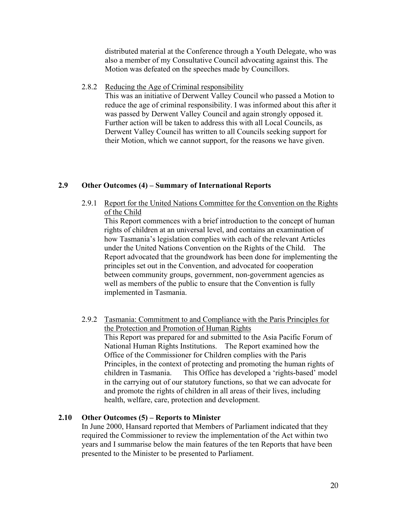<span id="page-20-0"></span>distributed material at the Conference through a Youth Delegate, who was also a member of my Consultative Council advocating against this. The Motion was defeated on the speeches made by Councillors.

#### 2.8.2 Reducing the Age of Criminal responsibility

This was an initiative of Derwent Valley Council who passed a Motion to reduce the age of criminal responsibility. I was informed about this after it was passed by Derwent Valley Council and again strongly opposed it. Further action will be taken to address this with all Local Councils, as Derwent Valley Council has written to all Councils seeking support for their Motion, which we cannot support, for the reasons we have given.

#### **2.9 Other Outcomes (4) – Summary of International Reports**

2.9.1 Report for the United Nations Committee for the Convention on the Rights of the Child

This Report commences with a brief introduction to the concept of human rights of children at an universal level, and contains an examination of how Tasmania's legislation complies with each of the relevant Articles under the United Nations Convention on the Rights of the Child. The Report advocated that the groundwork has been done for implementing the principles set out in the Convention, and advocated for cooperation between community groups, government, non-government agencies as well as members of the public to ensure that the Convention is fully implemented in Tasmania.

2.9.2 Tasmania: Commitment to and Compliance with the Paris Principles for the Protection and Promotion of Human Rights This Report was prepared for and submitted to the Asia Pacific Forum of National Human Rights Institutions. The Report examined how the Office of the Commissioner for Children complies with the Paris Principles, in the context of protecting and promoting the human rights of children in Tasmania. This Office has developed a 'rights-based' model in the carrying out of our statutory functions, so that we can advocate for and promote the rights of children in all areas of their lives, including health, welfare, care, protection and development.

#### **2.10 Other Outcomes (5) – Reports to Minister**

In June 2000, Hansard reported that Members of Parliament indicated that they required the Commissioner to review the implementation of the Act within two years and I summarise below the main features of the ten Reports that have been presented to the Minister to be presented to Parliament.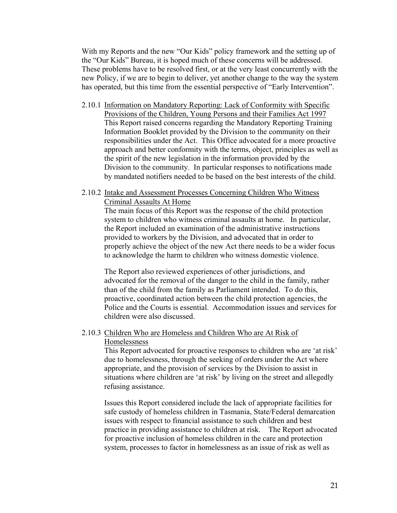<span id="page-21-0"></span>With my Reports and the new "Our Kids" policy framework and the setting up of the "Our Kids" Bureau, it is hoped much of these concerns will be addressed. These problems have to be resolved first, or at the very least concurrently with the new Policy, if we are to begin to deliver, yet another change to the way the system has operated, but this time from the essential perspective of "Early Intervention".

- 2.10.1 Information on Mandatory Reporting: Lack of Conformity with Specific Provisions of the Children, Young Persons and their Families Act 1997 This Report raised concerns regarding the Mandatory Reporting Training Information Booklet provided by the Division to the community on their responsibilities under the Act. This Office advocated for a more proactive approach and better conformity with the terms, object, principles as well as the spirit of the new legislation in the information provided by the Division to the community. In particular responses to notifications made by mandated notifiers needed to be based on the best interests of the child.
- 2.10.2 Intake and Assessment Processes Concerning Children Who Witness Criminal Assaults At Home

The main focus of this Report was the response of the child protection system to children who witness criminal assaults at home. In particular, the Report included an examination of the administrative instructions provided to workers by the Division, and advocated that in order to properly achieve the object of the new Act there needs to be a wider focus to acknowledge the harm to children who witness domestic violence.

The Report also reviewed experiences of other jurisdictions, and advocated for the removal of the danger to the child in the family, rather than of the child from the family as Parliament intended. To do this, proactive, coordinated action between the child protection agencies, the Police and the Courts is essential. Accommodation issues and services for children were also discussed.

#### 2.10.3 Children Who are Homeless and Children Who are At Risk of Homelessness

This Report advocated for proactive responses to children who are 'at risk' due to homelessness, through the seeking of orders under the Act where appropriate, and the provision of services by the Division to assist in situations where children are 'at risk' by living on the street and allegedly refusing assistance.

Issues this Report considered include the lack of appropriate facilities for safe custody of homeless children in Tasmania, State/Federal demarcation issues with respect to financial assistance to such children and best practice in providing assistance to children at risk. The Report advocated for proactive inclusion of homeless children in the care and protection system, processes to factor in homelessness as an issue of risk as well as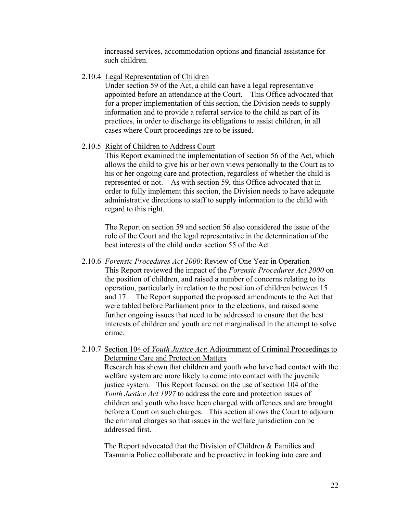increased services, accommodation options and financial assistance for such children.

#### <span id="page-22-0"></span>2.10.4 Legal Representation of Children

Under section 59 of the Act, a child can have a legal representative appointed before an attendance at the Court. This Office advocated that for a proper implementation of this section, the Division needs to supply information and to provide a referral service to the child as part of its practices, in order to discharge its obligations to assist children, in all cases where Court proceedings are to be issued.

#### 2.10.5 Right of Children to Address Court

crime.

This Report examined the implementation of section 56 of the Act, which allows the child to give his or her own views personally to the Court as to his or her ongoing care and protection, regardless of whether the child is represented or not. As with section 59, this Office advocated that in order to fully implement this section, the Division needs to have adequate administrative directions to staff to supply information to the child with regard to this right.

The Report on section 59 and section 56 also considered the issue of the role of the Court and the legal representative in the determination of the best interests of the child under section 55 of the Act.

#### 2.10.6 *Forensic Procedures Act 2000*: Review of One Year in Operation This Report reviewed the impact of the *Forensic Procedures Act 2000* on the position of children, and raised a number of concerns relating to its operation, particularly in relation to the position of children between 15 and 17. The Report supported the proposed amendments to the Act that were tabled before Parliament prior to the elections, and raised some further ongoing issues that need to be addressed to ensure that the best interests of children and youth are not marginalised in the attempt to solve

#### 2.10.7 Section 104 of *Youth Justice Act*: Adjournment of Criminal Proceedings to Determine Care and Protection Matters

Research has shown that children and youth who have had contact with the welfare system are more likely to come into contact with the juvenile justice system. This Report focused on the use of section 104 of the *Youth Justice Act 1997* to address the care and protection issues of children and youth who have been charged with offences and are brought before a Court on such charges. This section allows the Court to adjourn the criminal charges so that issues in the welfare jurisdiction can be addressed first.

The Report advocated that the Division of Children & Families and Tasmania Police collaborate and be proactive in looking into care and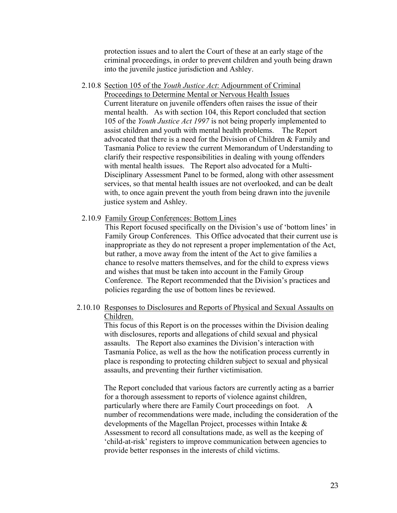<span id="page-23-0"></span>protection issues and to alert the Court of these at an early stage of the criminal proceedings, in order to prevent children and youth being drawn into the juvenile justice jurisdiction and Ashley.

2.10.8 Section 105 of the *Youth Justice Act*: Adjournment of Criminal

Proceedings to Determine Mental or Nervous Health Issues Current literature on juvenile offenders often raises the issue of their mental health. As with section 104, this Report concluded that section 105 of the *Youth Justice Act 1997* is not being properly implemented to assist children and youth with mental health problems. The Report advocated that there is a need for the Division of Children & Family and Tasmania Police to review the current Memorandum of Understanding to clarify their respective responsibilities in dealing with young offenders with mental health issues. The Report also advocated for a Multi-Disciplinary Assessment Panel to be formed, along with other assessment services, so that mental health issues are not overlooked, and can be dealt with, to once again prevent the youth from being drawn into the juvenile justice system and Ashley.

2.10.9 Family Group Conferences: Bottom Lines

This Report focused specifically on the Division's use of 'bottom lines' in Family Group Conferences. This Office advocated that their current use is inappropriate as they do not represent a proper implementation of the Act, but rather, a move away from the intent of the Act to give families a chance to resolve matters themselves, and for the child to express views and wishes that must be taken into account in the Family Group Conference. The Report recommended that the Division's practices and policies regarding the use of bottom lines be reviewed.

2.10.10 Responses to Disclosures and Reports of Physical and Sexual Assaults on Children.

> This focus of this Report is on the processes within the Division dealing with disclosures, reports and allegations of child sexual and physical assaults. The Report also examines the Division's interaction with Tasmania Police, as well as the how the notification process currently in place is responding to protecting children subject to sexual and physical assaults, and preventing their further victimisation.

The Report concluded that various factors are currently acting as a barrier for a thorough assessment to reports of violence against children, particularly where there are Family Court proceedings on foot. A number of recommendations were made, including the consideration of the developments of the Magellan Project, processes within Intake & Assessment to record all consultations made, as well as the keeping of 'child-at-risk' registers to improve communication between agencies to provide better responses in the interests of child victims.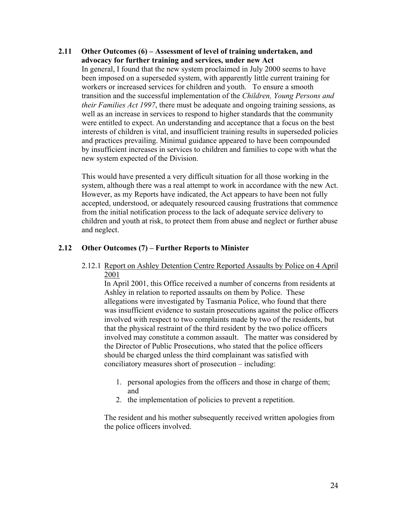#### <span id="page-24-0"></span>**2.11 Other Outcomes (6) – Assessment of level of training undertaken, and advocacy for further training and services, under new Act**

In general, I found that the new system proclaimed in July 2000 seems to have been imposed on a superseded system, with apparently little current training for workers or increased services for children and youth. To ensure a smooth transition and the successful implementation of the *Children, Young Persons and their Families Act 1997*, there must be adequate and ongoing training sessions, as well as an increase in services to respond to higher standards that the community were entitled to expect. An understanding and acceptance that a focus on the best interests of children is vital, and insufficient training results in superseded policies and practices prevailing. Minimal guidance appeared to have been compounded by insufficient increases in services to children and families to cope with what the new system expected of the Division.

This would have presented a very difficult situation for all those working in the system, although there was a real attempt to work in accordance with the new Act. However, as my Reports have indicated, the Act appears to have been not fully accepted, understood, or adequately resourced causing frustrations that commence from the initial notification process to the lack of adequate service delivery to children and youth at risk, to protect them from abuse and neglect or further abuse and neglect.

# **2.12 Other Outcomes (7) – Further Reports to Minister**

2.12.1 Report on Ashley Detention Centre Reported Assaults by Police on 4 April 2001

In April 2001, this Office received a number of concerns from residents at Ashley in relation to reported assaults on them by Police. These allegations were investigated by Tasmania Police, who found that there was insufficient evidence to sustain prosecutions against the police officers involved with respect to two complaints made by two of the residents, but that the physical restraint of the third resident by the two police officers involved may constitute a common assault. The matter was considered by the Director of Public Prosecutions, who stated that the police officers should be charged unless the third complainant was satisfied with conciliatory measures short of prosecution – including:

- 1. personal apologies from the officers and those in charge of them; and
- 2. the implementation of policies to prevent a repetition.

The resident and his mother subsequently received written apologies from the police officers involved.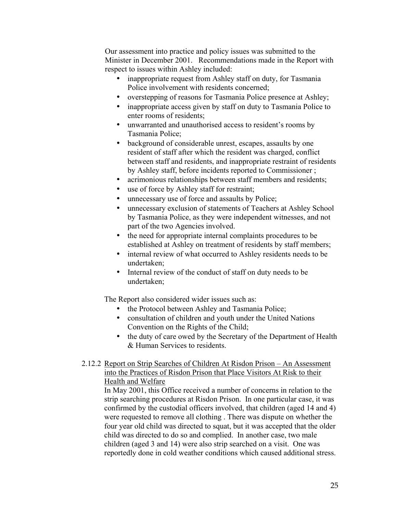<span id="page-25-0"></span>Our assessment into practice and policy issues was submitted to the Minister in December 2001. Recommendations made in the Report with respect to issues within Ashley included:

- inappropriate request from Ashley staff on duty, for Tasmania Police involvement with residents concerned;
- overstepping of reasons for Tasmania Police presence at Ashley;
- inappropriate access given by staff on duty to Tasmania Police to enter rooms of residents;
- unwarranted and unauthorised access to resident's rooms by Tasmania Police;
- background of considerable unrest, escapes, assaults by one resident of staff after which the resident was charged, conflict between staff and residents, and inappropriate restraint of residents by Ashley staff, before incidents reported to Commissioner ;
- acrimonious relationships between staff members and residents;
- use of force by Ashley staff for restraint;
- unnecessary use of force and assaults by Police;
- unnecessary exclusion of statements of Teachers at Ashley School by Tasmania Police, as they were independent witnesses, and not part of the two Agencies involved.
- the need for appropriate internal complaints procedures to be established at Ashley on treatment of residents by staff members;
- internal review of what occurred to Ashley residents needs to be undertaken;
- Internal review of the conduct of staff on duty needs to be undertaken;

The Report also considered wider issues such as:

- the Protocol between Ashley and Tasmania Police;
- consultation of children and youth under the United Nations Convention on the Rights of the Child;
- the duty of care owed by the Secretary of the Department of Health & Human Services to residents.

# 2.12.2 Report on Strip Searches of Children At Risdon Prison – An Assessment into the Practices of Risdon Prison that Place Visitors At Risk to their Health and Welfare

In May 2001, this Office received a number of concerns in relation to the strip searching procedures at Risdon Prison. In one particular case, it was confirmed by the custodial officers involved, that children (aged 14 and 4) were requested to remove all clothing . There was dispute on whether the four year old child was directed to squat, but it was accepted that the older child was directed to do so and complied. In another case, two male children (aged 3 and 14) were also strip searched on a visit. One was reportedly done in cold weather conditions which caused additional stress.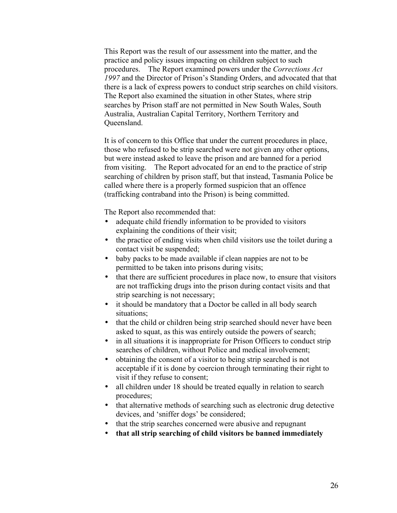This Report was the result of our assessment into the matter, and the practice and policy issues impacting on children subject to such procedures. The Report examined powers under the *Corrections Act 1997* and the Director of Prison's Standing Orders, and advocated that that there is a lack of express powers to conduct strip searches on child visitors. The Report also examined the situation in other States, where strip searches by Prison staff are not permitted in New South Wales, South Australia, Australian Capital Territory, Northern Territory and Queensland.

It is of concern to this Office that under the current procedures in place, those who refused to be strip searched were not given any other options, but were instead asked to leave the prison and are banned for a period from visiting. The Report advocated for an end to the practice of strip searching of children by prison staff, but that instead, Tasmania Police be called where there is a properly formed suspicion that an offence (trafficking contraband into the Prison) is being committed.

The Report also recommended that:

- adequate child friendly information to be provided to visitors explaining the conditions of their visit;
- the practice of ending visits when child visitors use the toilet during a contact visit be suspended;
- baby packs to be made available if clean nappies are not to be permitted to be taken into prisons during visits;
- that there are sufficient procedures in place now, to ensure that visitors are not trafficking drugs into the prison during contact visits and that strip searching is not necessary;
- it should be mandatory that a Doctor be called in all body search situations;
- that the child or children being strip searched should never have been asked to squat, as this was entirely outside the powers of search;
- in all situations it is inappropriate for Prison Officers to conduct strip searches of children, without Police and medical involvement;
- obtaining the consent of a visitor to being strip searched is not acceptable if it is done by coercion through terminating their right to visit if they refuse to consent;
- all children under 18 should be treated equally in relation to search procedures;
- that alternative methods of searching such as electronic drug detective devices, and 'sniffer dogs' be considered;
- that the strip searches concerned were abusive and repugnant
- **that all strip searching of child visitors be banned immediately**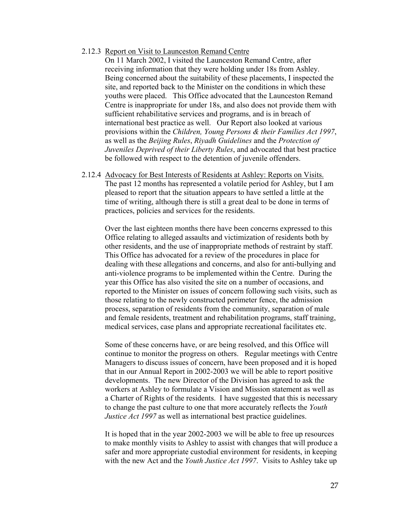#### <span id="page-27-0"></span>2.12.3 Report on Visit to Launceston Remand Centre

On 11 March 2002, I visited the Launceston Remand Centre, after receiving information that they were holding under 18s from Ashley. Being concerned about the suitability of these placements, I inspected the site, and reported back to the Minister on the conditions in which these youths were placed. This Office advocated that the Launceston Remand Centre is inappropriate for under 18s, and also does not provide them with sufficient rehabilitative services and programs, and is in breach of international best practice as well. Our Report also looked at various provisions within the *Children, Young Persons & their Families Act 1997*, as well as the *Beijing Rules*, *Riyadh Guidelines* and the *Protection of Juveniles Deprived of their Liberty Rules*, and advocated that best practice be followed with respect to the detention of juvenile offenders.

2.12.4 Advocacy for Best Interests of Residents at Ashley: Reports on Visits. The past 12 months has represented a volatile period for Ashley, but I am pleased to report that the situation appears to have settled a little at the time of writing, although there is still a great deal to be done in terms of practices, policies and services for the residents.

Over the last eighteen months there have been concerns expressed to this Office relating to alleged assaults and victimization of residents both by other residents, and the use of inappropriate methods of restraint by staff. This Office has advocated for a review of the procedures in place for dealing with these allegations and concerns, and also for anti-bullying and anti-violence programs to be implemented within the Centre. During the year this Office has also visited the site on a number of occasions, and reported to the Minister on issues of concern following such visits, such as those relating to the newly constructed perimeter fence, the admission process, separation of residents from the community, separation of male and female residents, treatment and rehabilitation programs, staff training, medical services, case plans and appropriate recreational facilitates etc.

Some of these concerns have, or are being resolved, and this Office will continue to monitor the progress on others. Regular meetings with Centre Managers to discuss issues of concern, have been proposed and it is hoped that in our Annual Report in 2002-2003 we will be able to report positive developments. The new Director of the Division has agreed to ask the workers at Ashley to formulate a Vision and Mission statement as well as a Charter of Rights of the residents. I have suggested that this is necessary to change the past culture to one that more accurately reflects the *Youth Justice Act 1997* as well as international best practice guidelines.

It is hoped that in the year 2002-2003 we will be able to free up resources to make monthly visits to Ashley to assist with changes that will produce a safer and more appropriate custodial environment for residents, in keeping with the new Act and the *Youth Justice Act 1997*. Visits to Ashley take up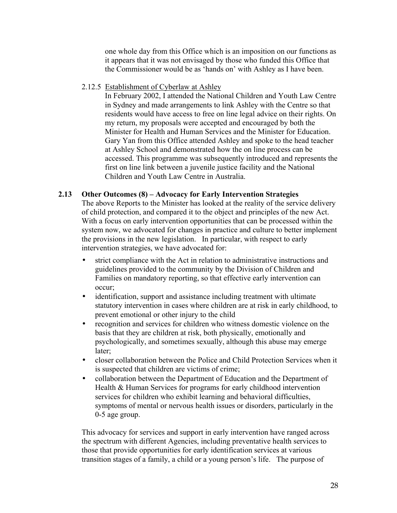<span id="page-28-0"></span>one whole day from this Office which is an imposition on our functions as it appears that it was not envisaged by those who funded this Office that the Commissioner would be as 'hands on' with Ashley as I have been.

#### 2.12.5 Establishment of Cyberlaw at Ashley

In February 2002, I attended the National Children and Youth Law Centre in Sydney and made arrangements to link Ashley with the Centre so that residents would have access to free on line legal advice on their rights. On my return, my proposals were accepted and encouraged by both the Minister for Health and Human Services and the Minister for Education. Gary Yan from this Office attended Ashley and spoke to the head teacher at Ashley School and demonstrated how the on line process can be accessed. This programme was subsequently introduced and represents the first on line link between a juvenile justice facility and the National Children and Youth Law Centre in Australia.

#### **2.13 Other Outcomes (8) – Advocacy for Early Intervention Strategies**

The above Reports to the Minister has looked at the reality of the service delivery of child protection, and compared it to the object and principles of the new Act. With a focus on early intervention opportunities that can be processed within the system now, we advocated for changes in practice and culture to better implement the provisions in the new legislation. In particular, with respect to early intervention strategies, we have advocated for:

- strict compliance with the Act in relation to administrative instructions and guidelines provided to the community by the Division of Children and Families on mandatory reporting, so that effective early intervention can occur;
- identification, support and assistance including treatment with ultimate statutory intervention in cases where children are at risk in early childhood, to prevent emotional or other injury to the child
- recognition and services for children who witness domestic violence on the basis that they are children at risk, both physically, emotionally and psychologically, and sometimes sexually, although this abuse may emerge later;
- closer collaboration between the Police and Child Protection Services when it is suspected that children are victims of crime;
- collaboration between the Department of Education and the Department of Health & Human Services for programs for early childhood intervention services for children who exhibit learning and behavioral difficulties, symptoms of mental or nervous health issues or disorders, particularly in the 0-5 age group.

This advocacy for services and support in early intervention have ranged across the spectrum with different Agencies, including preventative health services to those that provide opportunities for early identification services at various transition stages of a family, a child or a young person's life. The purpose of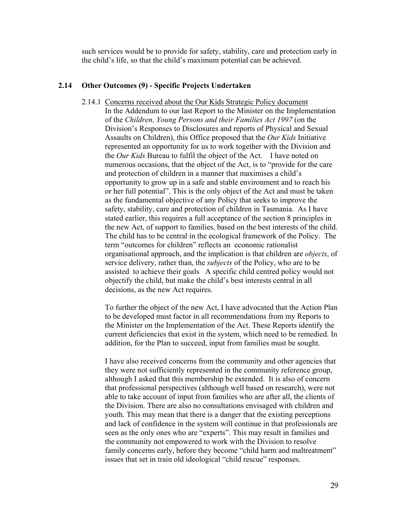<span id="page-29-0"></span>such services would be to provide for safety, stability, care and protection early in the child's life, so that the child's maximum potential can be achieved.

#### **2.14 Other Outcomes (9) - Specific Projects Undertaken**

2.14.1 Concerns received about the Our Kids Strategic Policy document In the Addendum to our last Report to the Minister on the Implementation of the *Children, Young Persons and their Families Act 1997* (on the Division's Responses to Disclosures and reports of Physical and Sexual Assaults on Children), this Office proposed that the *Our Kids* Initiative represented an opportunity for us to work together with the Division and the *Our Kids* Bureau to fulfil the object of the Act. I have noted on numerous occasions, that the object of the Act, is to "provide for the care and protection of children in a manner that maximises a child's opportunity to grow up in a safe and stable environment and to reach his or her full potential". This is the only object of the Act and must be taken as the fundamental objective of any Policy that seeks to improve the safety, stability, care and protection of children in Tasmania. As I have stated earlier, this requires a full acceptance of the section 8 principles in the new Act, of support to families, based on the best interests of the child. The child has to be central in the ecological framework of the Policy. The term "outcomes for children" reflects an economic rationalist organisational approach, and the implication is that children are *objects*, of service delivery, rather than, the *subjects* of the Policy, who are to be assisted to achieve their goals A specific child centred policy would not objectify the child, but make the child's best interests central in all decisions, as the new Act requires.

To further the object of the new Act, I have advocated that the Action Plan to be developed must factor in all recommendations from my Reports to the Minister on the Implementation of the Act. These Reports identify the current deficiencies that exist in the system, which need to be remedied. In addition, for the Plan to succeed, input from families must be sought.

I have also received concerns from the community and other agencies that they were not sufficiently represented in the community reference group, although I asked that this membership be extended. It is also of concern that professional perspectives (although well based on research), were not able to take account of input from families who are after all, the clients of the Division. There are also no consultations envisaged with children and youth. This may mean that there is a danger that the existing perceptions and lack of confidence in the system will continue in that professionals are seen as the only ones who are "experts". This may result in families and the community not empowered to work with the Division to resolve family concerns early, before they become "child harm and maltreatment" issues that set in train old ideological "child rescue" responses.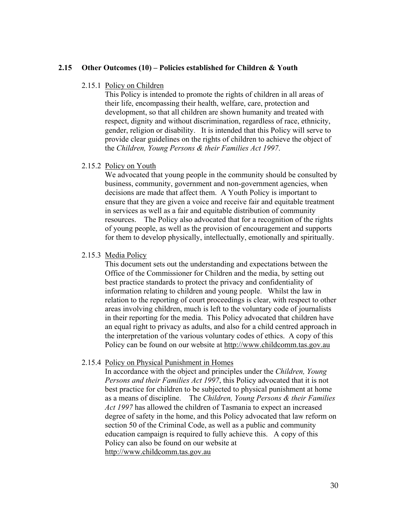#### <span id="page-30-0"></span>**2.15 Other Outcomes (10) – Policies established for Children & Youth**

#### 2.15.1 Policy on Children

This Policy is intended to promote the rights of children in all areas of their life, encompassing their health, welfare, care, protection and development, so that all children are shown humanity and treated with respect, dignity and without discrimination, regardless of race, ethnicity, gender, religion or disability. It is intended that this Policy will serve to provide clear guidelines on the rights of children to achieve the object of the *Children, Young Persons & their Families Act 1997*.

#### 2.15.2 Policy on Youth

We advocated that young people in the community should be consulted by business, community, government and non-government agencies, when decisions are made that affect them. A Youth Policy is important to ensure that they are given a voice and receive fair and equitable treatment in services as well as a fair and equitable distribution of community resources. The Policy also advocated that for a recognition of the rights of young people, as well as the provision of encouragement and supports for them to develop physically, intellectually, emotionally and spiritually.

#### 2.15.3 Media Policy

This document sets out the understanding and expectations between the Office of the Commissioner for Children and the media, by setting out best practice standards to protect the privacy and confidentiality of information relating to children and young people. Whilst the law in relation to the reporting of court proceedings is clear, with respect to other areas involving children, much is left to the voluntary code of journalists in their reporting for the media. This Policy advocated that children have an equal right to privacy as adults, and also for a child centred approach in the interpretation of the various voluntary codes of ethics. A copy of this Policy can be found on our website at [http://www.childcomm.tas.gov.au](http://www.childcomm.tas.gov.au/)

#### 2.15.4 Policy on Physical Punishment in Homes

In accordance with the object and principles under the *Children, Young Persons and their Families Act 1997*, this Policy advocated that it is not best practice for children to be subjected to physical punishment at home as a means of discipline. The *Children, Young Persons & their Families Act 1997* has allowed the children of Tasmania to expect an increased degree of safety in the home, and this Policy advocated that law reform on section 50 of the Criminal Code, as well as a public and community education campaign is required to fully achieve this. A copy of this Policy can also be found on our website at [http://www.childcomm.tas.gov.au](http://www.childcomm.tas.gov.au/)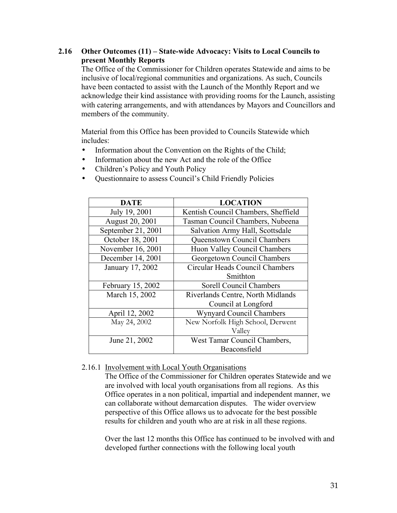### <span id="page-31-0"></span>**2.16 Other Outcomes (11) – State-wide Advocacy: Visits to Local Councils to present Monthly Reports**

The Office of the Commissioner for Children operates Statewide and aims to be inclusive of local/regional communities and organizations. As such, Councils have been contacted to assist with the Launch of the Monthly Report and we acknowledge their kind assistance with providing rooms for the Launch, assisting with catering arrangements, and with attendances by Mayors and Councillors and members of the community.

Material from this Office has been provided to Councils Statewide which includes:

- Information about the Convention on the Rights of the Child;
- Information about the new Act and the role of the Office
- Children's Policy and Youth Policy
- Questionnaire to assess Council's Child Friendly Policies

| <b>DATE</b>        | <b>LOCATION</b>                     |  |  |
|--------------------|-------------------------------------|--|--|
| July 19, 2001      | Kentish Council Chambers, Sheffield |  |  |
| August 20, 2001    | Tasman Council Chambers, Nubeena    |  |  |
| September 21, 2001 | Salvation Army Hall, Scottsdale     |  |  |
| October 18, 2001   | Queenstown Council Chambers         |  |  |
| November 16, 2001  | Huon Valley Council Chambers        |  |  |
| December 14, 2001  | Georgetown Council Chambers         |  |  |
| January 17, 2002   | Circular Heads Council Chambers     |  |  |
|                    | Smithton                            |  |  |
| February 15, 2002  | Sorell Council Chambers             |  |  |
| March 15, 2002     | Riverlands Centre, North Midlands   |  |  |
|                    | Council at Longford                 |  |  |
| April 12, 2002     | <b>Wynyard Council Chambers</b>     |  |  |
| May 24, 2002       | New Norfolk High School, Derwent    |  |  |
|                    | Valley                              |  |  |
| June 21, 2002      | West Tamar Council Chambers,        |  |  |
|                    | Beaconsfield                        |  |  |

#### 2.16.1 Involvement with Local Youth Organisations

The Office of the Commissioner for Children operates Statewide and we are involved with local youth organisations from all regions. As this Office operates in a non political, impartial and independent manner, we can collaborate without demarcation disputes. The wider overview perspective of this Office allows us to advocate for the best possible results for children and youth who are at risk in all these regions.

Over the last 12 months this Office has continued to be involved with and developed further connections with the following local youth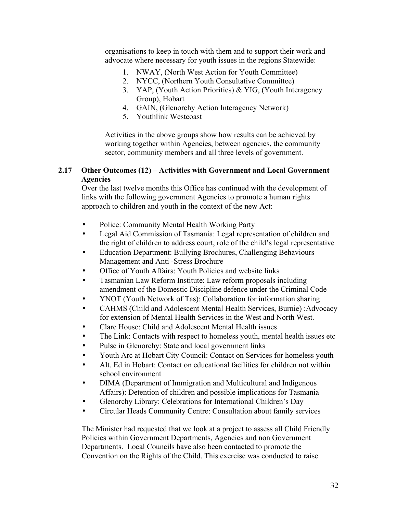<span id="page-32-0"></span>organisations to keep in touch with them and to support their work and advocate where necessary for youth issues in the regions Statewide:

- 1. NWAY, (North West Action for Youth Committee)
- 2. NYCC, (Northern Youth Consultative Committee)
- 3. YAP, (Youth Action Priorities) & YIG, (Youth Interagency Group), Hobart
- 4. GAIN, (Glenorchy Action Interagency Network)
- 5. Youthlink Westcoast

Activities in the above groups show how results can be achieved by working together within Agencies, between agencies, the community sector, community members and all three levels of government.

#### **2.17 Other Outcomes (12) – Activities with Government and Local Government Agencies**

Over the last twelve months this Office has continued with the development of links with the following government Agencies to promote a human rights approach to children and youth in the context of the new Act:

- Police: Community Mental Health Working Party
- Legal Aid Commission of Tasmania: Legal representation of children and the right of children to address court, role of the child's legal representative
- Education Department: Bullying Brochures, Challenging Behaviours Management and Anti -Stress Brochure
- Office of Youth Affairs: Youth Policies and website links
- Tasmanian Law Reform Institute: Law reform proposals including amendment of the Domestic Discipline defence under the Criminal Code
- YNOT (Youth Network of Tas): Collaboration for information sharing
- CAHMS (Child and Adolescent Mental Health Services, Burnie) :Advocacy for extension of Mental Health Services in the West and North West.
- Clare House: Child and Adolescent Mental Health issues
- The Link: Contacts with respect to homeless youth, mental health issues etc
- Pulse in Glenorchy: State and local government links
- Youth Arc at Hobart City Council: Contact on Services for homeless youth
- Alt. Ed in Hobart: Contact on educational facilities for children not within school environment
- DIMA (Department of Immigration and Multicultural and Indigenous Affairs): Detention of children and possible implications for Tasmania
- Glenorchy Library: Celebrations for International Children's Day
- Circular Heads Community Centre: Consultation about family services

The Minister had requested that we look at a project to assess all Child Friendly Policies within Government Departments, Agencies and non Government Departments. Local Councils have also been contacted to promote the Convention on the Rights of the Child. This exercise was conducted to raise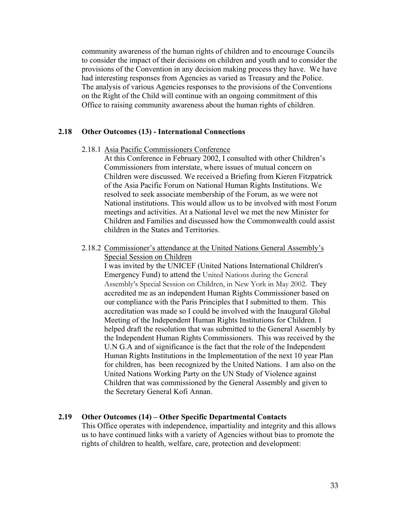<span id="page-33-0"></span>community awareness of the human rights of children and to encourage Councils to consider the impact of their decisions on children and youth and to consider the provisions of the Convention in any decision making process they have. We have had interesting responses from Agencies as varied as Treasury and the Police. The analysis of various Agencies responses to the provisions of the Conventions on the Right of the Child will continue with an ongoing commitment of this Office to raising community awareness about the human rights of children.

#### **2.18 Other Outcomes (13) - International Connections**

#### 2.18.1 Asia Pacific Commissioners Conference

At this Conference in February 2002, I consulted with other Children's Commissioners from interstate, where issues of mutual concern on Children were discussed. We received a Briefing from Kieren Fitzpatrick of the Asia Pacific Forum on National Human Rights Institutions. We resolved to seek associate membership of the Forum, as we were not National institutions. This would allow us to be involved with most Forum meetings and activities. At a National level we met the new Minister for Children and Families and discussed how the Commonwealth could assist children in the States and Territories.

2.18.2 Commissioner's attendance at the United Nations General Assembly's Special Session on Children

I was invited by the UNICEF (United Nations International Children's Emergency Fund) to attend the United Nations during the General Assembly's Special Session on Children, in New York in May 2002. They accredited me as an independent Human Rights Commissioner based on our compliance with the Paris Principles that I submitted to them. This accreditation was made so I could be involved with the Inaugural Global Meeting of the Independent Human Rights Institutions for Children. I helped draft the resolution that was submitted to the General Assembly by the Independent Human Rights Commissioners. This was received by the U.N G.A and of significance is the fact that the role of the Independent Human Rights Institutions in the Implementation of the next 10 year Plan for children, has been recognized by the United Nations. I am also on the United Nations Working Party on the UN Study of Violence against Children that was commissioned by the General Assembly and given to the Secretary General Kofi Annan.

#### **2.19 Other Outcomes (14) – Other Specific Departmental Contacts**

This Office operates with independence, impartiality and integrity and this allows us to have continued links with a variety of Agencies without bias to promote the rights of children to health, welfare, care, protection and development: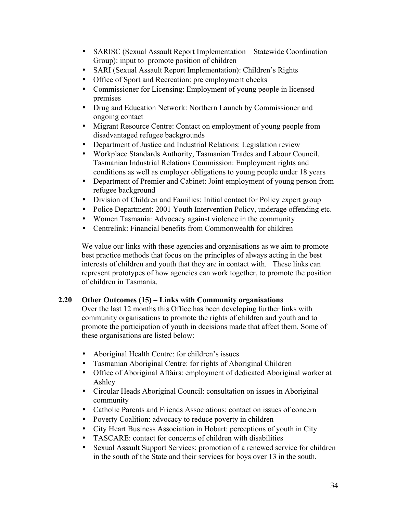- <span id="page-34-0"></span>• SARISC (Sexual Assault Report Implementation – Statewide Coordination Group): input to promote position of children
- SARI (Sexual Assault Report Implementation): Children's Rights
- Office of Sport and Recreation: pre employment checks
- Commissioner for Licensing: Employment of young people in licensed premises
- Drug and Education Network: Northern Launch by Commissioner and ongoing contact
- Migrant Resource Centre: Contact on employment of young people from disadvantaged refugee backgrounds
- Department of Justice and Industrial Relations: Legislation review
- Workplace Standards Authority, Tasmanian Trades and Labour Council, Tasmanian Industrial Relations Commission: Employment rights and conditions as well as employer obligations to young people under 18 years
- Department of Premier and Cabinet: Joint employment of young person from refugee background
- Division of Children and Families: Initial contact for Policy expert group
- Police Department: 2001 Youth Intervention Policy, underage offending etc.
- Women Tasmania: Advocacy against violence in the community
- Centrelink: Financial benefits from Commonwealth for children

We value our links with these agencies and organisations as we aim to promote best practice methods that focus on the principles of always acting in the best interests of children and youth that they are in contact with. These links can represent prototypes of how agencies can work together, to promote the position of children in Tasmania.

# **2.20 Other Outcomes (15) – Links with Community organisations**

Over the last 12 months this Office has been developing further links with community organisations to promote the rights of children and youth and to promote the participation of youth in decisions made that affect them. Some of these organisations are listed below:

- Aboriginal Health Centre: for children's issues
- Tasmanian Aboriginal Centre: for rights of Aboriginal Children
- Office of Aboriginal Affairs: employment of dedicated Aboriginal worker at Ashley
- Circular Heads Aboriginal Council: consultation on issues in Aboriginal community
- Catholic Parents and Friends Associations: contact on issues of concern
- Poverty Coalition: advocacy to reduce poverty in children
- City Heart Business Association in Hobart: perceptions of youth in City
- TASCARE: contact for concerns of children with disabilities
- Sexual Assault Support Services: promotion of a renewed service for children in the south of the State and their services for boys over 13 in the south.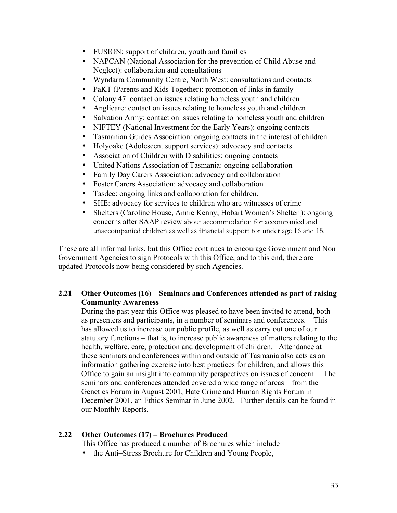- <span id="page-35-0"></span>• FUSION: support of children, youth and families
- NAPCAN (National Association for the prevention of Child Abuse and Neglect): collaboration and consultations
- Wyndarra Community Centre, North West: consultations and contacts
- PaKT (Parents and Kids Together): promotion of links in family
- Colony 47: contact on issues relating homeless youth and children
- Anglicare: contact on issues relating to homeless youth and children
- Salvation Army: contact on issues relating to homeless youth and children
- NIFTEY (National Investment for the Early Years): ongoing contacts
- Tasmanian Guides Association: ongoing contacts in the interest of children
- Holyoake (Adolescent support services): advocacy and contacts
- Association of Children with Disabilities: ongoing contacts
- United Nations Association of Tasmania: ongoing collaboration
- Family Day Carers Association: advocacy and collaboration
- Foster Carers Association: advocacy and collaboration
- Tasdec: ongoing links and collaboration for children.
- SHE: advocacy for services to children who are witnesses of crime
- Shelters (Caroline House, Annie Kenny, Hobart Women's Shelter): ongoing concerns after SAAP review about accommodation for accompanied and unaccompanied children as well as financial support for under age 16 and 15.

These are all informal links, but this Office continues to encourage Government and Non Government Agencies to sign Protocols with this Office, and to this end, there are updated Protocols now being considered by such Agencies.

# **2.21 Other Outcomes (16) – Seminars and Conferences attended as part of raising Community Awareness**

During the past year this Office was pleased to have been invited to attend, both as presenters and participants, in a number of seminars and conferences. This has allowed us to increase our public profile, as well as carry out one of our statutory functions – that is, to increase public awareness of matters relating to the health, welfare, care, protection and development of children. Attendance at these seminars and conferences within and outside of Tasmania also acts as an information gathering exercise into best practices for children, and allows this Office to gain an insight into community perspectives on issues of concern. The seminars and conferences attended covered a wide range of areas – from the Genetics Forum in August 2001, Hate Crime and Human Rights Forum in December 2001, an Ethics Seminar in June 2002. Further details can be found in our Monthly Reports.

# **2.22 Other Outcomes (17) – Brochures Produced**

This Office has produced a number of Brochures which include

• the Anti–Stress Brochure for Children and Young People,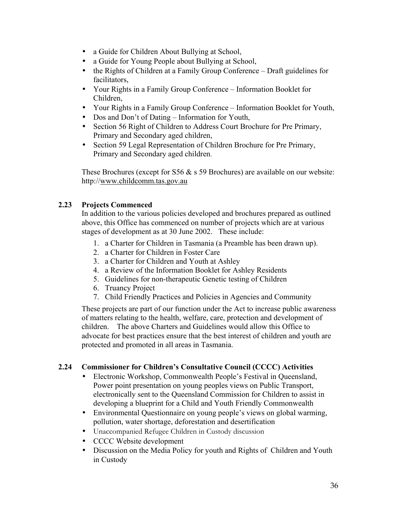- <span id="page-36-0"></span>• a Guide for Children About Bullying at School,
- a Guide for Young People about Bullying at School,
- the Rights of Children at a Family Group Conference Draft guidelines for facilitators,
- Your Rights in a Family Group Conference Information Booklet for Children,
- Your Rights in a Family Group Conference Information Booklet for Youth,
- Dos and Don't of Dating Information for Youth,
- Section 56 Right of Children to Address Court Brochure for Pre Primary, Primary and Secondary aged children,
- Section 59 Legal Representation of Children Brochure for Pre Primary, Primary and Secondary aged children.

These Brochures (except for S56  $&$  s 59 Brochures) are available on our website: http://[www.childcomm.tas.gov.au](http://www.childcomm.tas.gov.au/)

# **2.23 Projects Commenced**

In addition to the various policies developed and brochures prepared as outlined above, this Office has commenced on number of projects which are at various stages of development as at 30 June 2002. These include:

- 1. a Charter for Children in Tasmania (a Preamble has been drawn up).
- 2. a Charter for Children in Foster Care
- 3. a Charter for Children and Youth at Ashley
- 4. a Review of the Information Booklet for Ashley Residents
- 5. Guidelines for non-therapeutic Genetic testing of Children
- 6. Truancy Project
- 7. Child Friendly Practices and Policies in Agencies and Community

These projects are part of our function under the Act to increase public awareness of matters relating to the health, welfare, care, protection and development of children. The above Charters and Guidelines would allow this Office to advocate for best practices ensure that the best interest of children and youth are protected and promoted in all areas in Tasmania.

# **2.24 Commissioner for Children's Consultative Council (CCCC) Activities**

- Electronic Workshop, Commonwealth People's Festival in Queensland, Power point presentation on young peoples views on Public Transport, electronically sent to the Queensland Commission for Children to assist in developing a blueprint for a Child and Youth Friendly Commonwealth
- Environmental Questionnaire on young people's views on global warming, pollution, water shortage, deforestation and desertification
- Unaccompanied Refugee Children in Custody discussion
- CCCC Website development
- Discussion on the Media Policy for youth and Rights of Children and Youth in Custody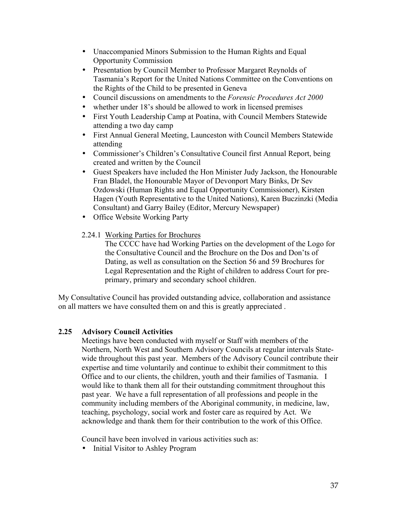- <span id="page-37-0"></span>• Unaccompanied Minors Submission to the Human Rights and Equal Opportunity Commission
- Presentation by Council Member to Professor Margaret Reynolds of Tasmania's Report for the United Nations Committee on the Conventions on the Rights of the Child to be presented in Geneva
- Council discussions on amendments to the *Forensic Procedures Act 2000*
- whether under 18's should be allowed to work in licensed premises
- First Youth Leadership Camp at Poatina, with Council Members Statewide attending a two day camp
- First Annual General Meeting, Launceston with Council Members Statewide attending
- Commissioner's Children's Consultative Council first Annual Report, being created and written by the Council
- Guest Speakers have included the Hon Minister Judy Jackson, the Honourable Fran Bladel, the Honourable Mayor of Devonport Mary Binks, Dr Sev Ozdowski (Human Rights and Equal Opportunity Commissioner), Kirsten Hagen (Youth Representative to the United Nations), Karen Buczinzki (Media Consultant) and Garry Bailey (Editor, Mercury Newspaper)
- Office Website Working Party
- 2.24.1 Working Parties for Brochures

The CCCC have had Working Parties on the development of the Logo for the Consultative Council and the Brochure on the Dos and Don'ts of Dating, as well as consultation on the Section 56 and 59 Brochures for Legal Representation and the Right of children to address Court for preprimary, primary and secondary school children.

My Consultative Council has provided outstanding advice, collaboration and assistance on all matters we have consulted them on and this is greatly appreciated .

# **2.25 Advisory Council Activities**

Meetings have been conducted with myself or Staff with members of the Northern, North West and Southern Advisory Councils at regular intervals Statewide throughout this past year. Members of the Advisory Council contribute their expertise and time voluntarily and continue to exhibit their commitment to this Office and to our clients, the children, youth and their families of Tasmania. I would like to thank them all for their outstanding commitment throughout this past year. We have a full representation of all professions and people in the community including members of the Aboriginal community, in medicine, law, teaching, psychology, social work and foster care as required by Act. We acknowledge and thank them for their contribution to the work of this Office.

Council have been involved in various activities such as:

• Initial Visitor to Ashley Program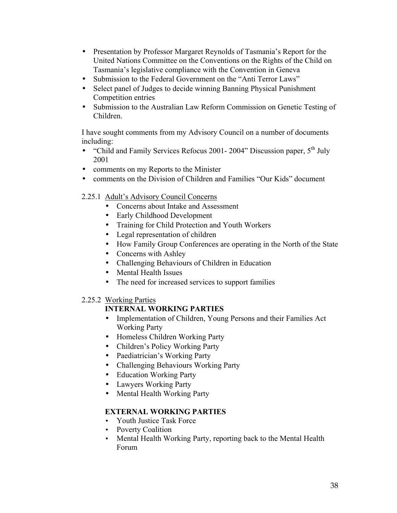- <span id="page-38-0"></span>• Presentation by Professor Margaret Reynolds of Tasmania's Report for the United Nations Committee on the Conventions on the Rights of the Child on Tasmania's legislative compliance with the Convention in Geneva
- Submission to the Federal Government on the "Anti Terror Laws"
- Select panel of Judges to decide winning Banning Physical Punishment Competition entries
- Submission to the Australian Law Reform Commission on Genetic Testing of Children.

I have sought comments from my Advisory Council on a number of documents including:

- "Child and Family Services Refocus 2001- 2004" Discussion paper,  $5<sup>th</sup>$  July 2001
- comments on my Reports to the Minister
- comments on the Division of Children and Families "Our Kids" document

# 2.25.1 Adult's Advisory Council Concerns

- Concerns about Intake and Assessment
- Early Childhood Development
- Training for Child Protection and Youth Workers
- Legal representation of children
- How Family Group Conferences are operating in the North of the State
- Concerns with Ashley
- Challenging Behaviours of Children in Education
- Mental Health Issues
- The need for increased services to support families

# 2.25.2 Working Parties

# **INTERNAL WORKING PARTIES**

- Implementation of Children, Young Persons and their Families Act Working Party
- Homeless Children Working Party
- Children's Policy Working Party
- Paediatrician's Working Party
- Challenging Behaviours Working Party
- Education Working Party
- Lawyers Working Party
- Mental Health Working Party

# **EXTERNAL WORKING PARTIES**

- Youth Justice Task Force
- Poverty Coalition
- Mental Health Working Party, reporting back to the Mental Health Forum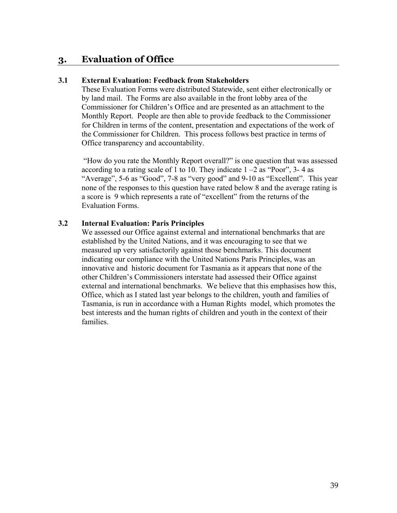# <span id="page-39-0"></span>**3. Evaluation of Office**

#### **3.1 External Evaluation: Feedback from Stakeholders**

These Evaluation Forms were distributed Statewide, sent either electronically or by land mail. The Forms are also available in the front lobby area of the Commissioner for Children's Office and are presented as an attachment to the Monthly Report. People are then able to provide feedback to the Commissioner for Children in terms of the content, presentation and expectations of the work of the Commissioner for Children. This process follows best practice in terms of Office transparency and accountability.

 "How do you rate the Monthly Report overall?" is one question that was assessed according to a rating scale of 1 to 10. They indicate  $1 - 2$  as "Poor", 3-4 as "Average", 5-6 as "Good", 7-8 as "very good" and 9-10 as "Excellent". This year none of the responses to this question have rated below 8 and the average rating is a score is 9 which represents a rate of "excellent" from the returns of the Evaluation Forms.

#### **3.2 Internal Evaluation: Paris Principles**

We assessed our Office against external and international benchmarks that are established by the United Nations, and it was encouraging to see that we measured up very satisfactorily against those benchmarks. This document indicating our compliance with the United Nations Paris Principles, was an innovative and historic document for Tasmania as it appears that none of the other Children's Commissioners interstate had assessed their Office against external and international benchmarks. We believe that this emphasises how this, Office, which as I stated last year belongs to the children, youth and families of Tasmania, is run in accordance with a Human Rights model, which promotes the best interests and the human rights of children and youth in the context of their families.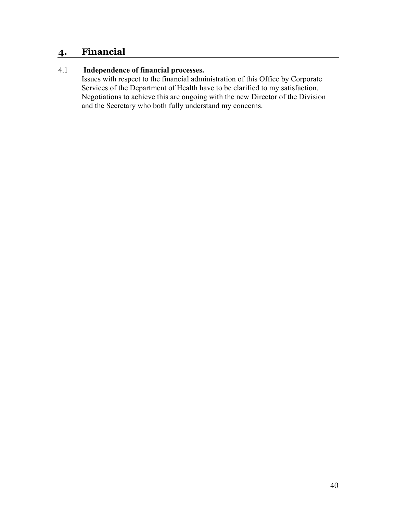# <span id="page-40-0"></span>**4. Financial**

# 4.1 **Independence of financial processes.**

Issues with respect to the financial administration of this Office by Corporate Services of the Department of Health have to be clarified to my satisfaction. Negotiations to achieve this are ongoing with the new Director of the Division and the Secretary who both fully understand my concerns.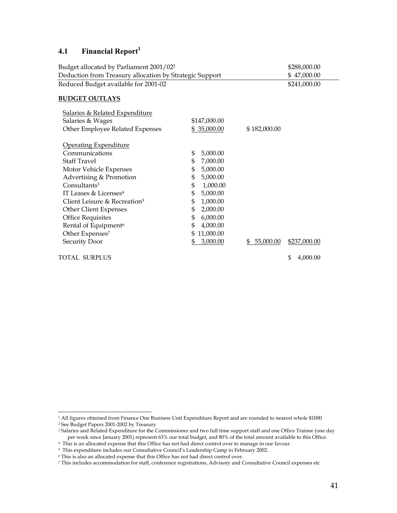# <span id="page-41-0"></span>**4.1 Financial Report[1](#page-41-1)**

| Budget allocated by Parliament 2001/02 <sup>2</sup>     | \$288,000.00    |                 |                |
|---------------------------------------------------------|-----------------|-----------------|----------------|
| Deduction from Treasury allocation by Strategic Support | \$47,000.00     |                 |                |
| Reduced Budget available for 2001-02                    | \$241,000.00    |                 |                |
| <b>BUDGET OUTLAYS</b>                                   |                 |                 |                |
| <b>Salaries &amp; Related Expenditure</b>               |                 |                 |                |
| Salaries & Wages                                        | \$147,000.00    |                 |                |
| Other Employee Related Expenses                         | \$35,000.00     | \$182,000.00    |                |
| <b>Operating Expenditure</b>                            |                 |                 |                |
| Communications                                          | \$<br>5,000.00  |                 |                |
| <b>Staff Travel</b>                                     | \$<br>7,000.00  |                 |                |
| Motor Vehicle Expenses                                  | \$<br>5,000.00  |                 |                |
| Advertising & Promotion                                 | \$<br>5,000.00  |                 |                |
| Consultants <sup>3</sup>                                | \$<br>1,000.00  |                 |                |
| IT Leases & Licenses <sup>4</sup>                       | \$<br>5,000.00  |                 |                |
| Client Leisure & Recreation <sup>5</sup>                | \$<br>1,000.00  |                 |                |
| Other Client Expenses                                   | \$<br>2,000.00  |                 |                |
| <b>Office Requisites</b>                                | 6,000.00<br>\$  |                 |                |
| Rental of Equipment <sup>6</sup>                        | \$<br>4,000.00  |                 |                |
| Other Expenses <sup>7</sup>                             | 11,000.00<br>\$ |                 |                |
| Security Door                                           | 3,000.00<br>\$  | 55,000.00<br>\$ | \$237,000.00   |
| <b>TOTAL SURPLUS</b>                                    |                 |                 | \$<br>4,000.00 |

-

<span id="page-41-1"></span><sup>&</sup>lt;sup>1</sup> All figures obtained from Finance One Business Unit Expenditure Report and are rounded to nearest whole \$1000 <sup>2</sup> See Budget Papers 2001-2002 by Treasury

<span id="page-41-3"></span><span id="page-41-2"></span><sup>&</sup>lt;sup>3</sup> Salaries and Related Expenditure for the Commissioner and two full time support staff and one Office Trainee (one day per week since January 2001) represent 63% our total budget, and 80% of the total amount available t

<span id="page-41-4"></span><sup>&</sup>lt;sup>4</sup> This is an allocated expense that this Office has not had direct control over to manage in our favour.

<span id="page-41-5"></span><sup>5</sup> This expenditure includes our Consultative Council's Leadership Camp in February 2002.

<span id="page-41-6"></span>

<span id="page-41-7"></span><sup>6</sup> This is also an allocated expense that this Office has not had direct control over. 7 This includes accommodation for staff, conference registrations, Advisory and Consultative Council expenses etc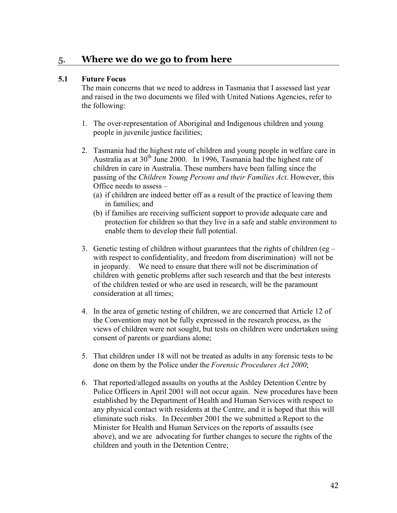# <span id="page-42-0"></span>5. **Where we do we go to from here**

#### **5.1 Future Focus**

The main concerns that we need to address in Tasmania that I assessed last year and raised in the two documents we filed with United Nations Agencies, refer to the following:

- 1. The over-representation of Aboriginal and Indigenous children and young people in juvenile justice facilities;
- 2. Tasmania had the highest rate of children and young people in welfare care in Australia as at  $30<sup>th</sup>$  June 2000. In 1996, Tasmania had the highest rate of children in care in Australia. These numbers have been falling since the passing of the *Children Young Persons and their Families Act*. However, this Office needs to assess –
	- (a) if children are indeed better off as a result of the practice of leaving them in families; and
	- (b) if families are receiving sufficient support to provide adequate care and protection for children so that they live in a safe and stable environment to enable them to develop their full potential.
- 3. Genetic testing of children without guarantees that the rights of children (eg with respect to confidentiality, and freedom from discrimination) will not be in jeopardy. We need to ensure that there will not be discrimination of children with genetic problems after such research and that the best interests of the children tested or who are used in research, will be the paramount consideration at all times;
- 4. In the area of genetic testing of children, we are concerned that Article 12 of the Convention may not be fully expressed in the research process, as the views of children were not sought, but tests on children were undertaken using consent of parents or guardians alone;
- 5. That children under 18 will not be treated as adults in any forensic tests to be done on them by the Police under the *Forensic Procedures Act 2000*;
- 6. That reported/alleged assaults on youths at the Ashley Detention Centre by Police Officers in April 2001 will not occur again. New procedures have been established by the Department of Health and Human Services with respect to any physical contact with residents at the Centre, and it is hoped that this will eliminate such risks.In December 2001 the we submitted a Report to the Minister for Health and Human Services on the reports of assaults (see above), and we are advocating for further changes to secure the rights of the children and youth in the Detention Centre;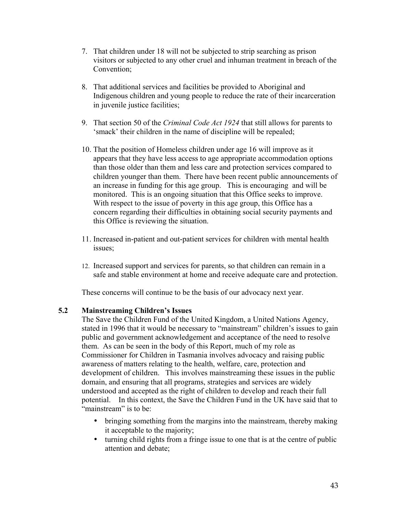- <span id="page-43-0"></span>7. That children under 18 will not be subjected to strip searching as prison visitors or subjected to any other cruel and inhuman treatment in breach of the Convention;
- 8. That additional services and facilities be provided to Aboriginal and Indigenous children and young people to reduce the rate of their incarceration in juvenile justice facilities;
- 9. That section 50 of the *Criminal Code Act 1924* that still allows for parents to 'smack' their children in the name of discipline will be repealed;
- 10. That the position of Homeless children under age 16 will improve as it appears that they have less access to age appropriate accommodation options than those older than them and less care and protection services compared to children younger than them. There have been recent public announcements of an increase in funding for this age group. This is encouraging and will be monitored. This is an ongoing situation that this Office seeks to improve. With respect to the issue of poverty in this age group, this Office has a concern regarding their difficulties in obtaining social security payments and this Office is reviewing the situation.
- 11. Increased in-patient and out-patient services for children with mental health issues;
- 12. Increased support and services for parents, so that children can remain in a safe and stable environment at home and receive adequate care and protection.

These concerns will continue to be the basis of our advocacy next year.

# **5.2 Mainstreaming Children's Issues**

The Save the Children Fund of the United Kingdom, a United Nations Agency, stated in 1996 that it would be necessary to "mainstream" children's issues to gain public and government acknowledgement and acceptance of the need to resolve them. As can be seen in the body of this Report, much of my role as Commissioner for Children in Tasmania involves advocacy and raising public awareness of matters relating to the health, welfare, care, protection and development of children. This involves mainstreaming these issues in the public domain, and ensuring that all programs, strategies and services are widely understood and accepted as the right of children to develop and reach their full potential. In this context, the Save the Children Fund in the UK have said that to "mainstream" is to be:

- bringing something from the margins into the mainstream, thereby making it acceptable to the majority;
- turning child rights from a fringe issue to one that is at the centre of public attention and debate;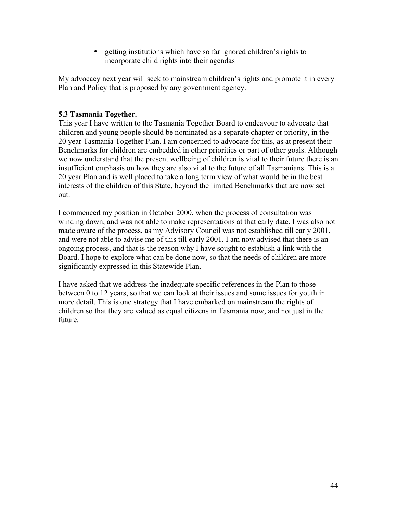• getting institutions which have so far ignored children's rights to incorporate child rights into their agendas

My advocacy next year will seek to mainstream children's rights and promote it in every Plan and Policy that is proposed by any government agency.

# **5.3 Tasmania Together.**

This year I have written to the Tasmania Together Board to endeavour to advocate that children and young people should be nominated as a separate chapter or priority, in the 20 year Tasmania Together Plan. I am concerned to advocate for this, as at present their Benchmarks for children are embedded in other priorities or part of other goals. Although we now understand that the present wellbeing of children is vital to their future there is an insufficient emphasis on how they are also vital to the future of all Tasmanians. This is a 20 year Plan and is well placed to take a long term view of what would be in the best interests of the children of this State, beyond the limited Benchmarks that are now set out.

I commenced my position in October 2000, when the process of consultation was winding down, and was not able to make representations at that early date. I was also not made aware of the process, as my Advisory Council was not established till early 2001, and were not able to advise me of this till early 2001. I am now advised that there is an ongoing process, and that is the reason why I have sought to establish a link with the Board. I hope to explore what can be done now, so that the needs of children are more significantly expressed in this Statewide Plan.

I have asked that we address the inadequate specific references in the Plan to those between 0 to 12 years, so that we can look at their issues and some issues for youth in more detail. This is one strategy that I have embarked on mainstream the rights of children so that they are valued as equal citizens in Tasmania now, and not just in the future.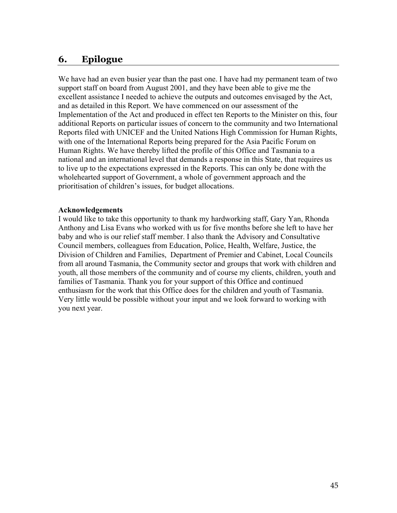# <span id="page-45-0"></span>**6. Epilogue**

We have had an even busier year than the past one. I have had my permanent team of two support staff on board from August 2001, and they have been able to give me the excellent assistance I needed to achieve the outputs and outcomes envisaged by the Act, and as detailed in this Report. We have commenced on our assessment of the Implementation of the Act and produced in effect ten Reports to the Minister on this, four additional Reports on particular issues of concern to the community and two International Reports filed with UNICEF and the United Nations High Commission for Human Rights, with one of the International Reports being prepared for the Asia Pacific Forum on Human Rights. We have thereby lifted the profile of this Office and Tasmania to a national and an international level that demands a response in this State, that requires us to live up to the expectations expressed in the Reports. This can only be done with the wholehearted support of Government, a whole of government approach and the prioritisation of children's issues, for budget allocations.

#### **Acknowledgements**

I would like to take this opportunity to thank my hardworking staff, Gary Yan, Rhonda Anthony and Lisa Evans who worked with us for five months before she left to have her baby and who is our relief staff member. I also thank the Advisory and Consultative Council members, colleagues from Education, Police, Health, Welfare, Justice, the Division of Children and Families, Department of Premier and Cabinet, Local Councils from all around Tasmania, the Community sector and groups that work with children and youth, all those members of the community and of course my clients, children, youth and families of Tasmania. Thank you for your support of this Office and continued enthusiasm for the work that this Office does for the children and youth of Tasmania. Very little would be possible without your input and we look forward to working with you next year.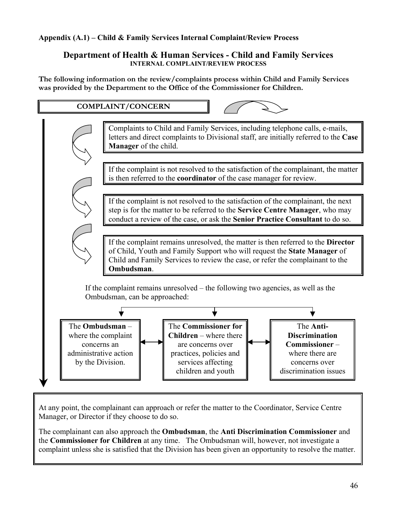# <span id="page-46-0"></span>**Appendix (A.1) – Child & Family Services Internal Complaint/Review Process**

# **Department of Health & Human Services - Child and Family Services INTERNAL COMPLAINT/REVIEW PROCESS**

**The following information on the review/complaints process within Child and Family Services was provided by the Department to the Office of the Commissioner for Children.**

![](_page_46_Figure_3.jpeg)

At any point, the complainant can approach or refer the matter to the Coordinator, Service Centre Manager, or Director if they choose to do so.

The complainant can also approach the **Ombudsman**, the **Anti Discrimination Commissioner** and the **Commissioner for Children** at any time. The Ombudsman will, however, not investigate a complaint unless she is satisfied that the Division has been given an opportunity to resolve the matter.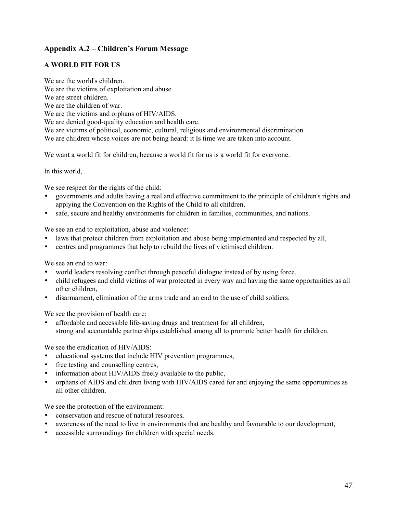# <span id="page-47-0"></span>**Appendix A.2 – Children's Forum Message**

#### **A WORLD FIT FOR US**

We are the world's children. We are the victims of exploitation and abuse. We are street children. We are the children of war. We are the victims and orphans of HIV/AIDS. We are denied good-quality education and health care. We are victims of political, economic, cultural, religious and environmental discrimination. We are children whose voices are not being heard: it Is time we are taken into account.

We want a world fit for children, because a world fit for us is a world fit for everyone.

In this world,

We see respect for the rights of the child:

- governments and adults having a real and effective commitment to the principle of children's rights and applying the Convention on the Rights of the Child to all children,
- safe, secure and healthy environments for children in families, communities, and nations.

We see an end to exploitation, abuse and violence:

- laws that protect children from exploitation and abuse being implemented and respected by all,
- centres and programmes that help to rebuild the lives of victimised children.

We see an end to war:

- world leaders resolving conflict through peaceful dialogue instead of by using force,
- child refugees and child victims of war protected in every way and having the same opportunities as all other children,
- disarmament, elimination of the arms trade and an end to the use of child soldiers.

We see the provision of health care:

• affordable and accessible life-saving drugs and treatment for all children, strong and accountable partnerships established among all to promote better health for children.

We see the eradication of HIV/AIDS:

- educational systems that include HIV prevention programmes,
- free testing and counselling centres,
- information about HIV/AIDS freely available to the public,
- orphans of AIDS and children living with HIV/AIDS cared for and enjoying the same opportunities as all other children.

We see the protection of the environment:

- conservation and rescue of natural resources,
- awareness of the need to live in environments that are healthy and favourable to our development,
- accessible surroundings for children with special needs.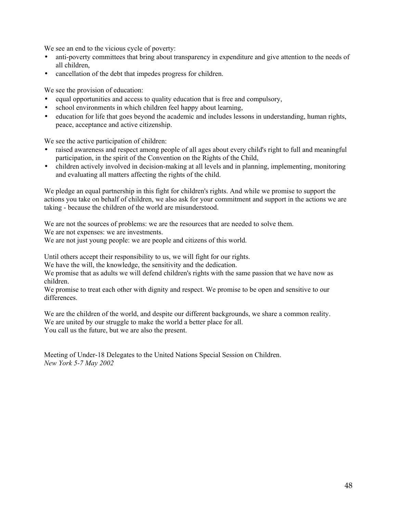We see an end to the vicious cycle of poverty:

- anti-poverty committees that bring about transparency in expenditure and give attention to the needs of all children,
- cancellation of the debt that impedes progress for children.

We see the provision of education:

- equal opportunities and access to quality education that is free and compulsory,
- school environments in which children feel happy about learning,
- education for life that goes beyond the academic and includes lessons in understanding, human rights, peace, acceptance and active citizenship.

We see the active participation of children:

- raised awareness and respect among people of all ages about every child's right to full and meaningful participation, in the spirit of the Convention on the Rights of the Child,
- children actively involved in decision-making at all levels and in planning, implementing, monitoring and evaluating all matters affecting the rights of the child.

We pledge an equal partnership in this fight for children's rights. And while we promise to support the actions you take on behalf of children, we also ask for your commitment and support in the actions we are taking - because the children of the world are misunderstood.

We are not the sources of problems: we are the resources that are needed to solve them. We are not expenses: we are investments.

We are not just young people: we are people and citizens of this world.

Until others accept their responsibility to us, we will fight for our rights.

We have the will, the knowledge, the sensitivity and the dedication.

We promise that as adults we will defend children's rights with the same passion that we have now as children.

We promise to treat each other with dignity and respect. We promise to be open and sensitive to our differences.

We are the children of the world, and despite our different backgrounds, we share a common reality. We are united by our struggle to make the world a better place for all. You call us the future, but we are also the present.

Meeting of Under-18 Delegates to the United Nations Special Session on Children. *New York 5-7 May 2002*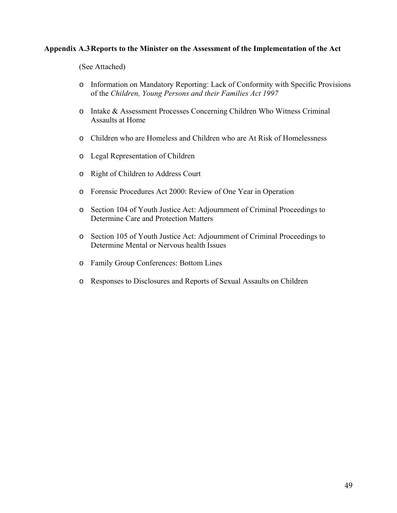#### <span id="page-49-0"></span>**Appendix A.3 Reports to the Minister on the Assessment of the Implementation of the Act**

(See Attached)

- o Information on Mandatory Reporting: Lack of Conformity with Specific Provisions of the *Children, Young Persons and their Families Act 1997*
- o Intake & Assessment Processes Concerning Children Who Witness Criminal Assaults at Home
- o Children who are Homeless and Children who are At Risk of Homelessness
- o Legal Representation of Children
- o Right of Children to Address Court
- o Forensic Procedures Act 2000: Review of One Year in Operation
- o Section 104 of Youth Justice Act: Adjournment of Criminal Proceedings to Determine Care and Protection Matters
- o Section 105 of Youth Justice Act: Adjournment of Criminal Proceedings to Determine Mental or Nervous health Issues
- o Family Group Conferences: Bottom Lines
- o Responses to Disclosures and Reports of Sexual Assaults on Children